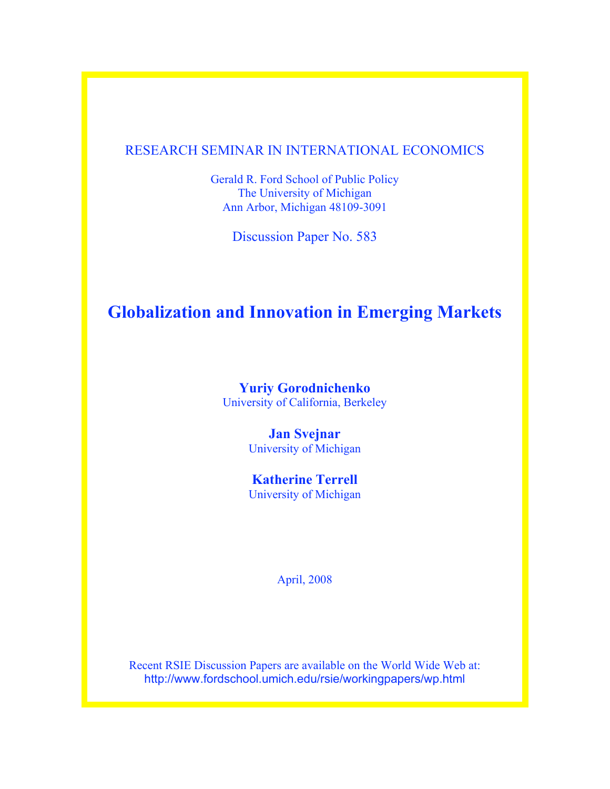# RESEARCH SEMINAR IN INTERNATIONAL ECONOMICS

Gerald R. Ford School of Public Policy The University of Michigan Ann Arbor, Michigan 48109-3091

Discussion Paper No. 583

# **Globalization and Innovation in Emerging Markets**

**Yuriy Gorodnichenko** University of California, Berkeley

> **Jan Svejnar** University of Michigan

> **Katherine Terrell** University of Michigan

> > April, 2008

Recent RSIE Discussion Papers are available on the World Wide Web at: http://www.fordschool.umich.edu/rsie/workingpapers/wp.html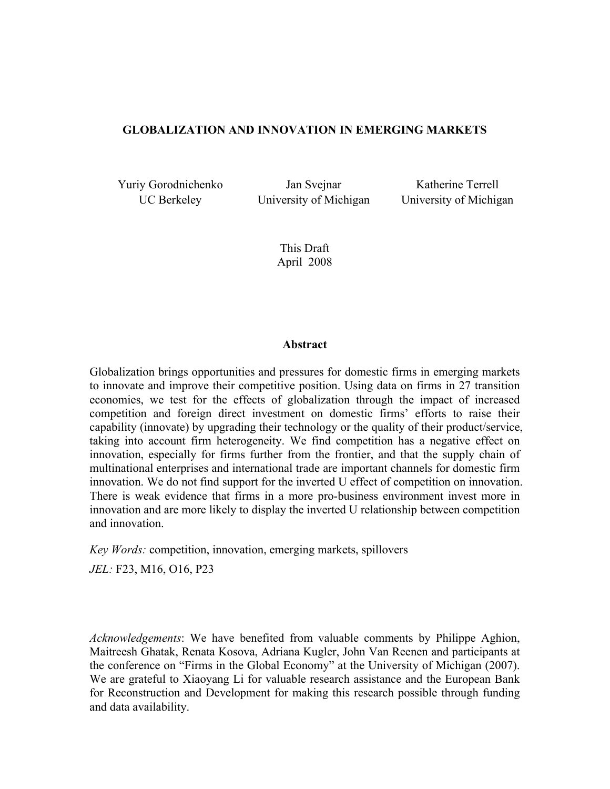#### **GLOBALIZATION AND INNOVATION IN EMERGING MARKETS**

Yuriy Gorodnichenko Jan Svejnar Katherine Terrell

UC Berkeley **University of Michigan** University of Michigan

This Draft April 2008

#### **Abstract**

Globalization brings opportunities and pressures for domestic firms in emerging markets to innovate and improve their competitive position. Using data on firms in 27 transition economies, we test for the effects of globalization through the impact of increased competition and foreign direct investment on domestic firms' efforts to raise their capability (innovate) by upgrading their technology or the quality of their product/service, taking into account firm heterogeneity. We find competition has a negative effect on innovation, especially for firms further from the frontier, and that the supply chain of multinational enterprises and international trade are important channels for domestic firm innovation. We do not find support for the inverted U effect of competition on innovation. There is weak evidence that firms in a more pro-business environment invest more in innovation and are more likely to display the inverted U relationship between competition and innovation.

*Key Words:* competition, innovation, emerging markets, spillovers

*JEL:* F23, M16, O16, P23

*Acknowledgements*: We have benefited from valuable comments by Philippe Aghion, Maitreesh Ghatak, Renata Kosova, Adriana Kugler, John Van Reenen and participants at the conference on "Firms in the Global Economy" at the University of Michigan (2007). We are grateful to Xiaoyang Li for valuable research assistance and the European Bank for Reconstruction and Development for making this research possible through funding and data availability.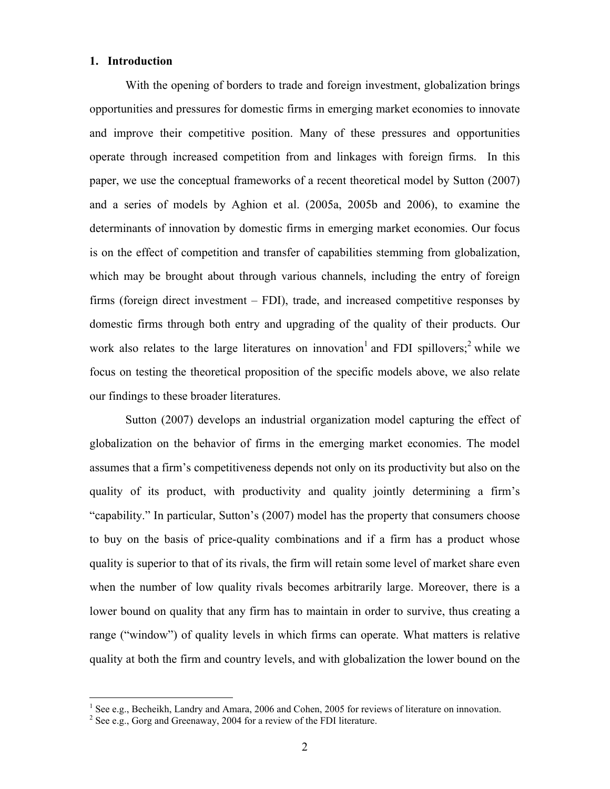#### **1. Introduction**

With the opening of borders to trade and foreign investment, globalization brings opportunities and pressures for domestic firms in emerging market economies to innovate and improve their competitive position. Many of these pressures and opportunities operate through increased competition from and linkages with foreign firms. In this paper, we use the conceptual frameworks of a recent theoretical model by Sutton (2007) and a series of models by Aghion et al. (2005a, 2005b and 2006), to examine the determinants of innovation by domestic firms in emerging market economies. Our focus is on the effect of competition and transfer of capabilities stemming from globalization, which may be brought about through various channels, including the entry of foreign firms (foreign direct investment – FDI), trade, and increased competitive responses by domestic firms through both entry and upgrading of the quality of their products. Our work also relates to the large literatures on innovation and FDI spillovers;  $2$  while we focus on testing the theoretical proposition of the specific models above, we also relate our findings to these broader literatures.

Sutton (2007) develops an industrial organization model capturing the effect of globalization on the behavior of firms in the emerging market economies. The model assumes that a firm's competitiveness depends not only on its productivity but also on the quality of its product, with productivity and quality jointly determining a firm's "capability." In particular, Sutton's (2007) model has the property that consumers choose to buy on the basis of price-quality combinations and if a firm has a product whose quality is superior to that of its rivals, the firm will retain some level of market share even when the number of low quality rivals becomes arbitrarily large. Moreover, there is a lower bound on quality that any firm has to maintain in order to survive, thus creating a range ("window") of quality levels in which firms can operate. What matters is relative quality at both the firm and country levels, and with globalization the lower bound on the

 $\frac{1}{1}$ <sup>1</sup> See e.g., Becheikh, Landry and Amara, 2006 and Cohen, 2005 for reviews of literature on innovation.

 $2$  See e.g., Gorg and Greenaway, 2004 for a review of the FDI literature.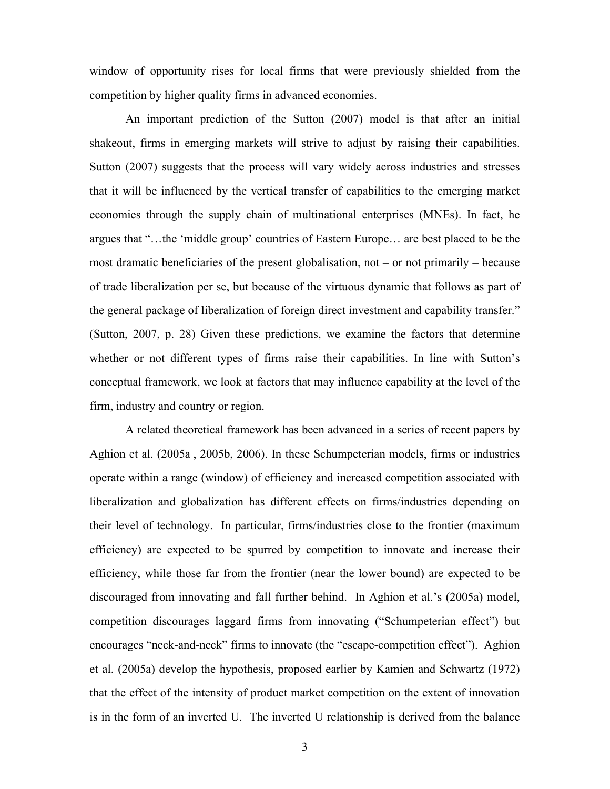window of opportunity rises for local firms that were previously shielded from the competition by higher quality firms in advanced economies.

An important prediction of the Sutton (2007) model is that after an initial shakeout, firms in emerging markets will strive to adjust by raising their capabilities. Sutton (2007) suggests that the process will vary widely across industries and stresses that it will be influenced by the vertical transfer of capabilities to the emerging market economies through the supply chain of multinational enterprises (MNEs). In fact, he argues that "…the 'middle group' countries of Eastern Europe… are best placed to be the most dramatic beneficiaries of the present globalisation, not – or not primarily – because of trade liberalization per se, but because of the virtuous dynamic that follows as part of the general package of liberalization of foreign direct investment and capability transfer." (Sutton, 2007, p. 28) Given these predictions, we examine the factors that determine whether or not different types of firms raise their capabilities. In line with Sutton's conceptual framework, we look at factors that may influence capability at the level of the firm, industry and country or region.

A related theoretical framework has been advanced in a series of recent papers by Aghion et al. (2005a , 2005b, 2006). In these Schumpeterian models, firms or industries operate within a range (window) of efficiency and increased competition associated with liberalization and globalization has different effects on firms/industries depending on their level of technology. In particular, firms/industries close to the frontier (maximum efficiency) are expected to be spurred by competition to innovate and increase their efficiency, while those far from the frontier (near the lower bound) are expected to be discouraged from innovating and fall further behind. In Aghion et al.'s (2005a) model, competition discourages laggard firms from innovating ("Schumpeterian effect") but encourages "neck-and-neck" firms to innovate (the "escape-competition effect"). Aghion et al. (2005a) develop the hypothesis, proposed earlier by Kamien and Schwartz (1972) that the effect of the intensity of product market competition on the extent of innovation is in the form of an inverted U. The inverted U relationship is derived from the balance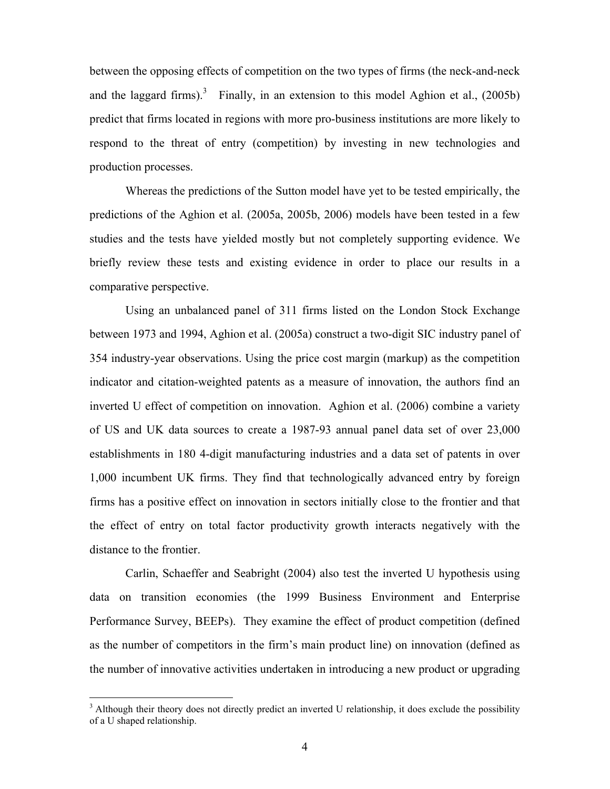between the opposing effects of competition on the two types of firms (the neck-and-neck and the laggard firms).<sup>3</sup> Finally, in an extension to this model Aghion et al.,  $(2005b)$ predict that firms located in regions with more pro-business institutions are more likely to respond to the threat of entry (competition) by investing in new technologies and production processes.

Whereas the predictions of the Sutton model have yet to be tested empirically, the predictions of the Aghion et al. (2005a, 2005b, 2006) models have been tested in a few studies and the tests have yielded mostly but not completely supporting evidence. We briefly review these tests and existing evidence in order to place our results in a comparative perspective.

Using an unbalanced panel of 311 firms listed on the London Stock Exchange between 1973 and 1994, Aghion et al. (2005a) construct a two-digit SIC industry panel of 354 industry-year observations. Using the price cost margin (markup) as the competition indicator and citation-weighted patents as a measure of innovation, the authors find an inverted U effect of competition on innovation. Aghion et al. (2006) combine a variety of US and UK data sources to create a 1987-93 annual panel data set of over 23,000 establishments in 180 4-digit manufacturing industries and a data set of patents in over 1,000 incumbent UK firms. They find that technologically advanced entry by foreign firms has a positive effect on innovation in sectors initially close to the frontier and that the effect of entry on total factor productivity growth interacts negatively with the distance to the frontier.

Carlin, Schaeffer and Seabright (2004) also test the inverted U hypothesis using data on transition economies (the 1999 Business Environment and Enterprise Performance Survey, BEEPs). They examine the effect of product competition (defined as the number of competitors in the firm's main product line) on innovation (defined as the number of innovative activities undertaken in introducing a new product or upgrading

<sup>&</sup>lt;sup>3</sup>  $3$  Although their theory does not directly predict an inverted U relationship, it does exclude the possibility of a U shaped relationship.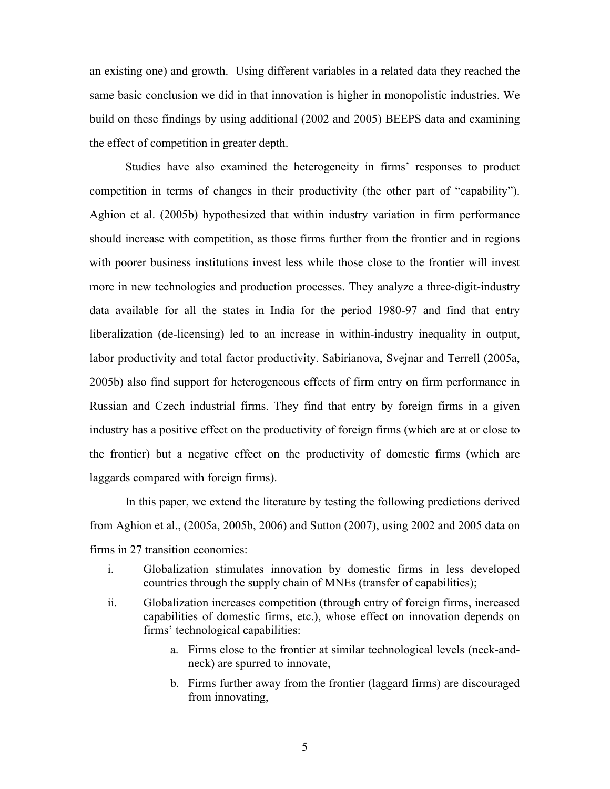an existing one) and growth. Using different variables in a related data they reached the same basic conclusion we did in that innovation is higher in monopolistic industries. We build on these findings by using additional (2002 and 2005) BEEPS data and examining the effect of competition in greater depth.

Studies have also examined the heterogeneity in firms' responses to product competition in terms of changes in their productivity (the other part of "capability"). Aghion et al. (2005b) hypothesized that within industry variation in firm performance should increase with competition, as those firms further from the frontier and in regions with poorer business institutions invest less while those close to the frontier will invest more in new technologies and production processes. They analyze a three-digit-industry data available for all the states in India for the period 1980-97 and find that entry liberalization (de-licensing) led to an increase in within-industry inequality in output, labor productivity and total factor productivity. Sabirianova, Svejnar and Terrell (2005a, 2005b) also find support for heterogeneous effects of firm entry on firm performance in Russian and Czech industrial firms. They find that entry by foreign firms in a given industry has a positive effect on the productivity of foreign firms (which are at or close to the frontier) but a negative effect on the productivity of domestic firms (which are laggards compared with foreign firms).

In this paper, we extend the literature by testing the following predictions derived from Aghion et al., (2005a, 2005b, 2006) and Sutton (2007), using 2002 and 2005 data on firms in 27 transition economies:

- i. Globalization stimulates innovation by domestic firms in less developed countries through the supply chain of MNEs (transfer of capabilities);
- ii. Globalization increases competition (through entry of foreign firms, increased capabilities of domestic firms, etc.), whose effect on innovation depends on firms' technological capabilities:
	- a. Firms close to the frontier at similar technological levels (neck-andneck) are spurred to innovate,
	- b. Firms further away from the frontier (laggard firms) are discouraged from innovating,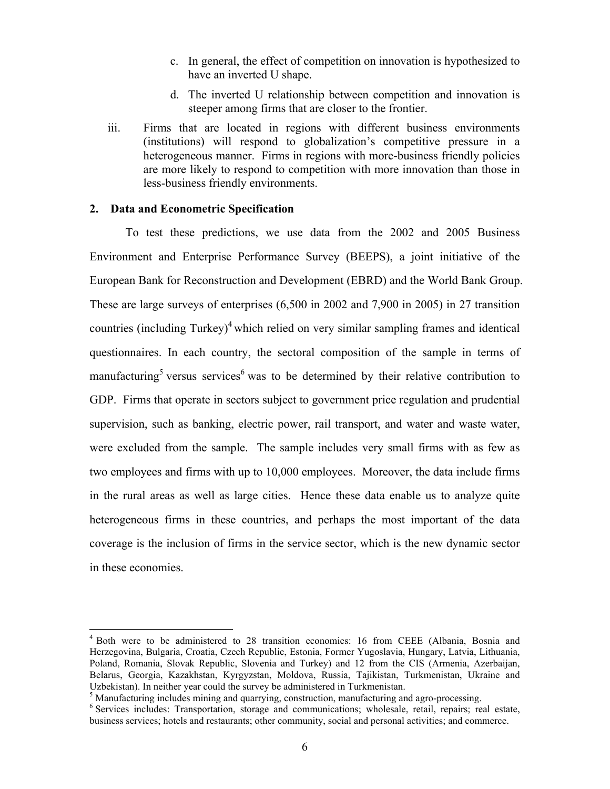- c. In general, the effect of competition on innovation is hypothesized to have an inverted U shape.
- d. The inverted U relationship between competition and innovation is steeper among firms that are closer to the frontier.
- iii. Firms that are located in regions with different business environments (institutions) will respond to globalization's competitive pressure in a heterogeneous manner. Firms in regions with more-business friendly policies are more likely to respond to competition with more innovation than those in less-business friendly environments.

#### **2. Data and Econometric Specification**

To test these predictions, we use data from the 2002 and 2005 Business Environment and Enterprise Performance Survey (BEEPS), a joint initiative of the European Bank for Reconstruction and Development (EBRD) and the World Bank Group. These are large surveys of enterprises (6,500 in 2002 and 7,900 in 2005) in 27 transition countries (including Turkey)<sup>4</sup> which relied on very similar sampling frames and identical questionnaires. In each country, the sectoral composition of the sample in terms of manufacturing<sup>5</sup> versus services<sup>6</sup> was to be determined by their relative contribution to GDP. Firms that operate in sectors subject to government price regulation and prudential supervision, such as banking, electric power, rail transport, and water and waste water, were excluded from the sample. The sample includes very small firms with as few as two employees and firms with up to 10,000 employees. Moreover, the data include firms in the rural areas as well as large cities. Hence these data enable us to analyze quite heterogeneous firms in these countries, and perhaps the most important of the data coverage is the inclusion of firms in the service sector, which is the new dynamic sector in these economies.

 $\frac{1}{4}$ <sup>4</sup> Both were to be administered to 28 transition economies: 16 from CEEE (Albania, Bosnia and Herzegovina, Bulgaria, Croatia, Czech Republic, Estonia, Former Yugoslavia, Hungary, Latvia, Lithuania, Poland, Romania, Slovak Republic, Slovenia and Turkey) and 12 from the CIS (Armenia, Azerbaijan, Belarus, Georgia, Kazakhstan, Kyrgyzstan, Moldova, Russia, Tajikistan, Turkmenistan, Ukraine and Uzbekistan). In neither year could the survey be administered in Turkmenistan.

<sup>&</sup>lt;sup>5</sup> Manufacturing includes mining and quarrying, construction, manufacturing and agro-processing.

<sup>&</sup>lt;sup>6</sup> Services includes: Transportation, storage and communications; wholesale, retail, repairs; real estate, business services; hotels and restaurants; other community, social and personal activities; and commerce.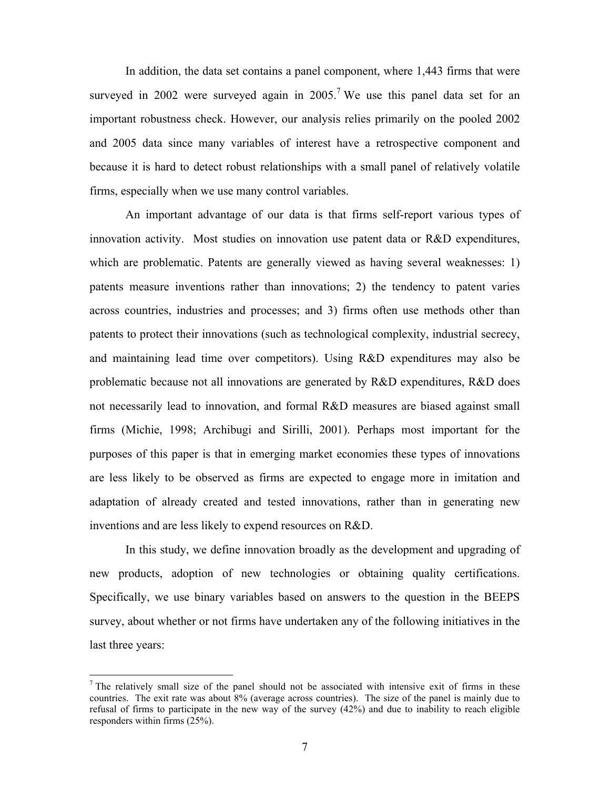In addition, the data set contains a panel component, where 1,443 firms that were surveyed in 2002 were surveyed again in  $2005<sup>7</sup>$  We use this panel data set for an important robustness check. However, our analysis relies primarily on the pooled 2002 and 2005 data since many variables of interest have a retrospective component and because it is hard to detect robust relationships with a small panel of relatively volatile firms, especially when we use many control variables.

An important advantage of our data is that firms self-report various types of innovation activity. Most studies on innovation use patent data or R&D expenditures, which are problematic. Patents are generally viewed as having several weaknesses: 1) patents measure inventions rather than innovations; 2) the tendency to patent varies across countries, industries and processes; and 3) firms often use methods other than patents to protect their innovations (such as technological complexity, industrial secrecy, and maintaining lead time over competitors). Using R&D expenditures may also be problematic because not all innovations are generated by R&D expenditures, R&D does not necessarily lead to innovation, and formal R&D measures are biased against small firms (Michie, 1998; Archibugi and Sirilli, 2001). Perhaps most important for the purposes of this paper is that in emerging market economies these types of innovations are less likely to be observed as firms are expected to engage more in imitation and adaptation of already created and tested innovations, rather than in generating new inventions and are less likely to expend resources on R&D.

In this study, we define innovation broadly as the development and upgrading of new products, adoption of new technologies or obtaining quality certifications. Specifically, we use binary variables based on answers to the question in the BEEPS survey, about whether or not firms have undertaken any of the following initiatives in the last three years:

 $<sup>7</sup>$  The relatively small size of the panel should not be associated with intensive exit of firms in these</sup> countries. The exit rate was about 8% (average across countries). The size of the panel is mainly due to refusal of firms to participate in the new way of the survey (42%) and due to inability to reach eligible responders within firms (25%).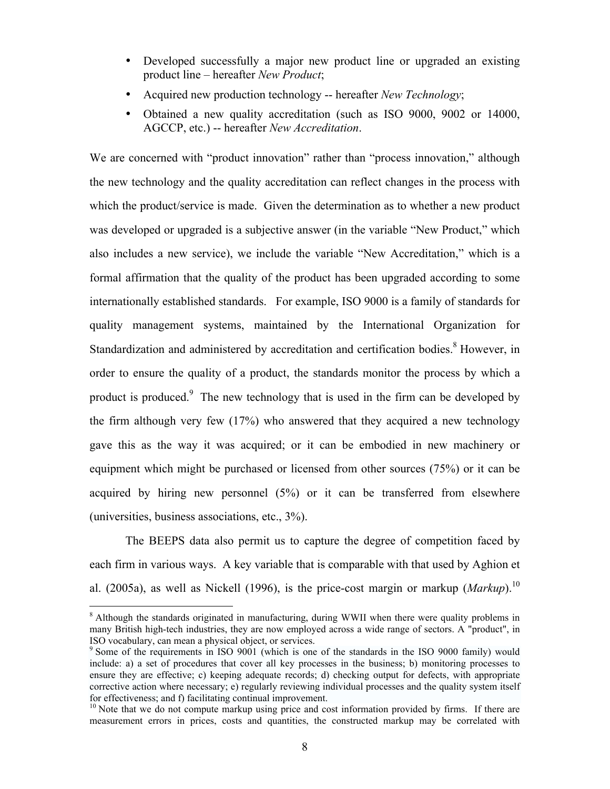- Developed successfully a major new product line or upgraded an existing product line – hereafter *New Product*;
- Acquired new production technology -- hereafter *New Technology*;
- Obtained a new quality accreditation (such as ISO 9000, 9002 or 14000, AGCCP, etc.) -- hereafter *New Accreditation*.

We are concerned with "product innovation" rather than "process innovation," although the new technology and the quality accreditation can reflect changes in the process with which the product/service is made. Given the determination as to whether a new product was developed or upgraded is a subjective answer (in the variable "New Product," which also includes a new service), we include the variable "New Accreditation," which is a formal affirmation that the quality of the product has been upgraded according to some internationally established standards. For example, ISO 9000 is a family of standards for quality management systems, maintained by the International Organization for Standardization and administered by accreditation and certification bodies.<sup>8</sup> However, in order to ensure the quality of a product, the standards monitor the process by which a product is produced.<sup>9</sup> The new technology that is used in the firm can be developed by the firm although very few (17%) who answered that they acquired a new technology gave this as the way it was acquired; or it can be embodied in new machinery or equipment which might be purchased or licensed from other sources (75%) or it can be acquired by hiring new personnel (5%) or it can be transferred from elsewhere (universities, business associations, etc., 3%).

The BEEPS data also permit us to capture the degree of competition faced by each firm in various ways. A key variable that is comparable with that used by Aghion et al. (2005a), as well as Nickell (1996), is the price-cost margin or markup (*Markup*). 10

<sup>&</sup>lt;sup>8</sup> Although the standards originated in manufacturing, during WWII when there were quality problems in many British high-tech industries, they are now employed across a wide range of sectors. A "product", in ISO vocabulary, can mean a physical object, or services.

<sup>&</sup>lt;sup>9</sup> Some of the requirements in ISO 9001 (which is one of the standards in the ISO 9000 family) would include: a) a set of procedures that cover all key processes in the business; b) monitoring processes to ensure they are effective; c) keeping adequate records; d) checking output for defects, with appropriate corrective action where necessary; e) regularly reviewing individual processes and the quality system itself for effectiveness; and f) facilitating continual improvement.

 $10$  Note that we do not compute markup using price and cost information provided by firms. If there are measurement errors in prices, costs and quantities, the constructed markup may be correlated with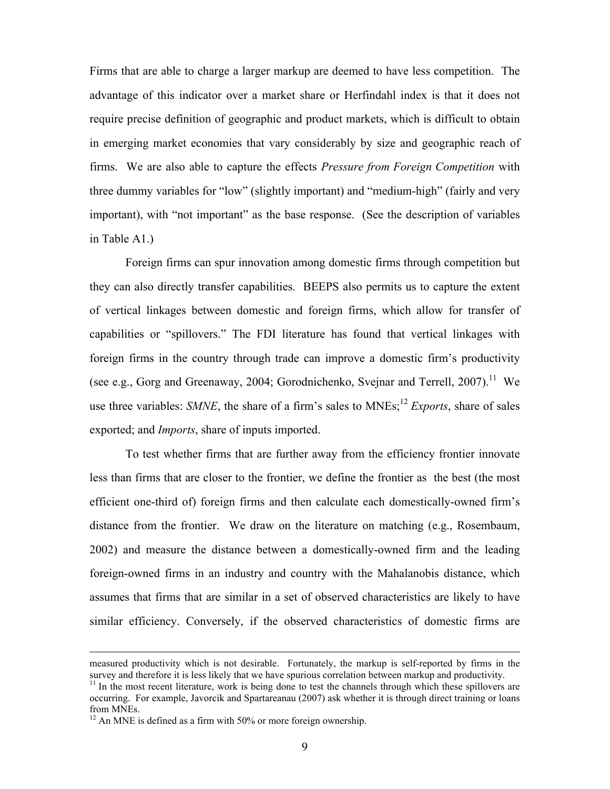Firms that are able to charge a larger markup are deemed to have less competition. The advantage of this indicator over a market share or Herfindahl index is that it does not require precise definition of geographic and product markets, which is difficult to obtain in emerging market economies that vary considerably by size and geographic reach of firms. We are also able to capture the effects *Pressure from Foreign Competition* with three dummy variables for "low" (slightly important) and "medium-high" (fairly and very important), with "not important" as the base response. (See the description of variables in Table A1.)

Foreign firms can spur innovation among domestic firms through competition but they can also directly transfer capabilities. BEEPS also permits us to capture the extent of vertical linkages between domestic and foreign firms, which allow for transfer of capabilities or "spillovers." The FDI literature has found that vertical linkages with foreign firms in the country through trade can improve a domestic firm's productivity (see e.g., Gorg and Greenaway, 2004; Gorodnichenko, Svejnar and Terrell, 2007). <sup>11</sup> We use three variables: *SMNE*, the share of a firm's sales to MNEs; <sup>12</sup> *Exports*, share of sales exported; and *Imports*, share of inputs imported.

To test whether firms that are further away from the efficiency frontier innovate less than firms that are closer to the frontier, we define the frontier as the best (the most efficient one-third of) foreign firms and then calculate each domestically-owned firm's distance from the frontier. We draw on the literature on matching (e.g., Rosembaum, 2002) and measure the distance between a domestically-owned firm and the leading foreign-owned firms in an industry and country with the Mahalanobis distance, which assumes that firms that are similar in a set of observed characteristics are likely to have similar efficiency. Conversely, if the observed characteristics of domestic firms are

measured productivity which is not desirable. Fortunately, the markup is self-reported by firms in the survey and therefore it is less likely that we have spurious correlation between markup and productivity.

 $11$  In the most recent literature, work is being done to test the channels through which these spillovers are occurring. For example, Javorcik and Spartareanau (2007) ask whether it is through direct training or loans from MNEs.

 $12$  An MNE is defined as a firm with 50% or more foreign ownership.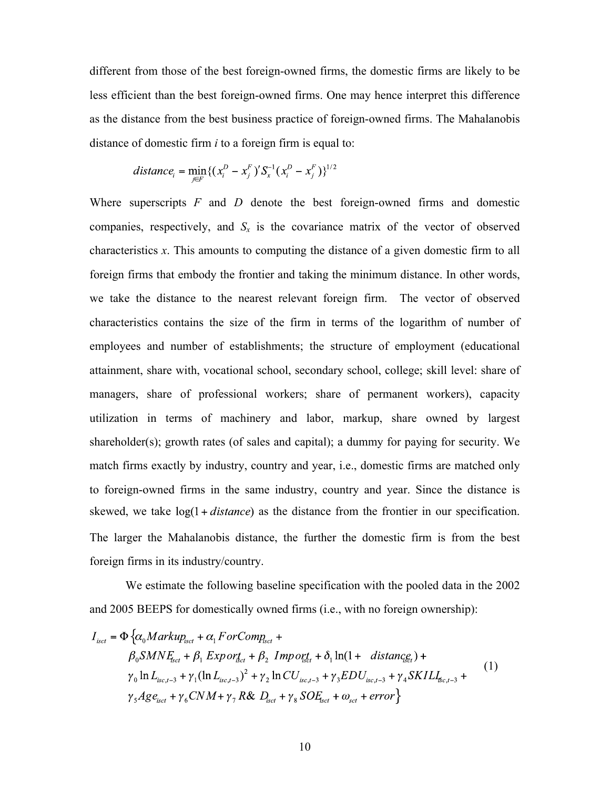different from those of the best foreign-owned firms, the domestic firms are likely to be less efficient than the best foreign-owned firms. One may hence interpret this difference as the distance from the best business practice of foreign-owned firms. The Mahalanobis distance of domestic firm *i* to a foreign firm is equal to:

$$
distance_i = \min_{j \in F} \{ (x_i^D - x_j^F)' S_x^{-1} (x_i^D - x_j^F) \}^{1/2}
$$

Where superscripts *F* and *D* denote the best foreign-owned firms and domestic companies, respectively, and  $S_x$  is the covariance matrix of the vector of observed characteristics *x*. This amounts to computing the distance of a given domestic firm to all foreign firms that embody the frontier and taking the minimum distance. In other words, we take the distance to the nearest relevant foreign firm. The vector of observed characteristics contains the size of the firm in terms of the logarithm of number of employees and number of establishments; the structure of employment (educational attainment, share with, vocational school, secondary school, college; skill level: share of managers, share of professional workers; share of permanent workers), capacity utilization in terms of machinery and labor, markup, share owned by largest shareholder(s); growth rates (of sales and capital); a dummy for paying for security. We match firms exactly by industry, country and year, i.e., domestic firms are matched only to foreign-owned firms in the same industry, country and year. Since the distance is skewed, we take  $log(1 + distance)$  as the distance from the frontier in our specification. The larger the Mahalanobis distance, the further the domestic firm is from the best foreign firms in its industry/country.

We estimate the following baseline specification with the pooled data in the 2002 and 2005 BEEPS for domestically owned firms (i.e., with no foreign ownership):

$$
I_{\text{isct}} = \Phi \{ \alpha_0 \text{Markup}_{\text{isct}} + \alpha_1 \text{ForComp}_{\text{isct}} + \\ \beta_0 \text{SMN} E_{\text{isct}} + \beta_1 \text{Exp} \text{or}_{\text{isct}} + \beta_2 \text{ Imp} \text{or}_{\text{isct}}^{\text{st}} + \delta_1 \ln(1 + \text{distance}_{\text{isct}}^{\text{st}}) + \\ \gamma_0 \ln L_{\text{isct},-3} + \gamma_1 (\ln L_{\text{isct},-3})^2 + \gamma_2 \ln C U_{\text{isct},-3} + \gamma_3 \text{ED} U_{\text{isct},-3} + \gamma_4 \text{SKILL}_{\text{isct},-3} + \\ \gamma_5 \text{Age}_{\text{isct}} + \gamma_6 \text{CMM} + \gamma_7 \text{R} \& D_{\text{isct}} + \gamma_8 \text{SO} E_{\text{isct}} + \omega_{\text{sc}} + \text{error} \}
$$
\n(1)

 $\epsilon$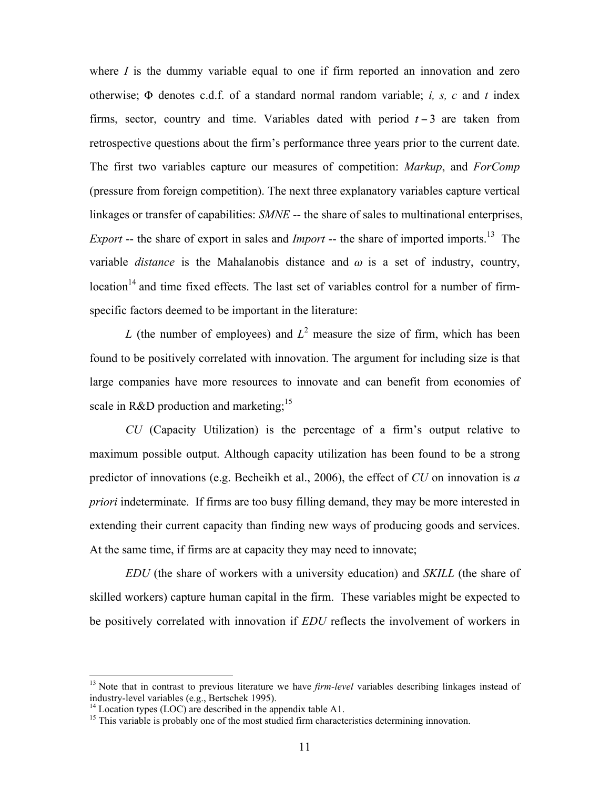where *I* is the dummy variable equal to one if firm reported an innovation and zero otherwise;  $\Phi$  denotes c.d.f. of a standard normal random variable; *i*, *s*, *c* and *t* index firms, sector, country and time. Variables dated with period  $t - 3$  are taken from retrospective questions about the firm's performance three years prior to the current date. The first two variables capture our measures of competition: *Markup*, and *ForComp* (pressure from foreign competition). The next three explanatory variables capture vertical linkages or transfer of capabilities: *SMNE* -- the share of sales to multinational enterprises, *Export* -- the share of export in sales and *Import* -- the share of imported imports.<sup>13</sup> The variable *distance* is the Mahalanobis distance and  $\omega$  is a set of industry, country,  $location<sup>14</sup>$  and time fixed effects. The last set of variables control for a number of firmspecific factors deemed to be important in the literature:

*L* (the number of employees) and  $L^2$  measure the size of firm, which has been found to be positively correlated with innovation. The argument for including size is that large companies have more resources to innovate and can benefit from economies of scale in R&D production and marketing;<sup>15</sup>

*CU* (Capacity Utilization) is the percentage of a firm's output relative to maximum possible output. Although capacity utilization has been found to be a strong predictor of innovations (e.g. Becheikh et al., 2006), the effect of *CU* on innovation is *a priori* indeterminate. If firms are too busy filling demand, they may be more interested in extending their current capacity than finding new ways of producing goods and services. At the same time, if firms are at capacity they may need to innovate;

*EDU* (the share of workers with a university education) and *SKILL* (the share of skilled workers) capture human capital in the firm. These variables might be expected to be positively correlated with innovation if *EDU* reflects the involvement of workers in

<sup>&</sup>lt;sup>13</sup> Note that in contrast to previous literature we have *firm-level* variables describing linkages instead of industry-level variables (e.g., Bertschek 1995).

<sup>&</sup>lt;sup>14</sup> Location types (LOC) are described in the appendix table A1.<br><sup>15</sup> This variable is probably one of the most studied firm characteristics determining innovation.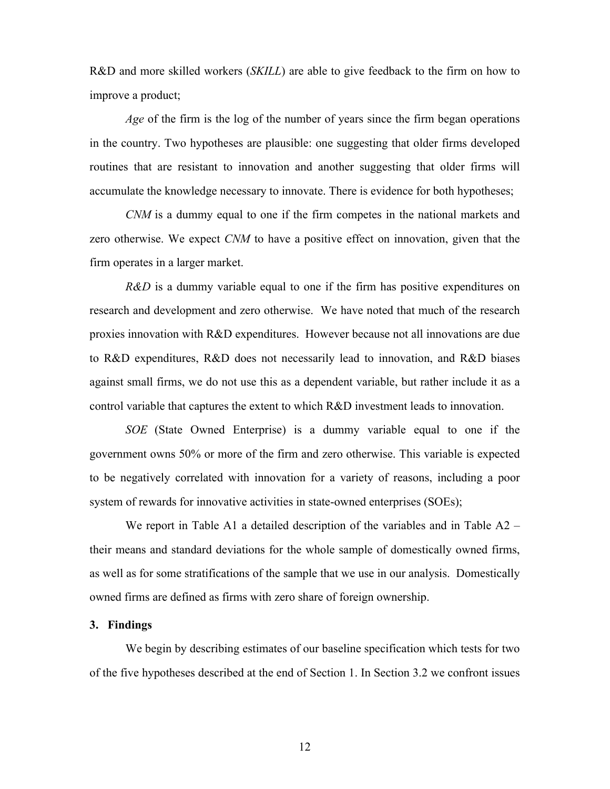R&D and more skilled workers (*SKILL*) are able to give feedback to the firm on how to improve a product;

*Age* of the firm is the log of the number of years since the firm began operations in the country. Two hypotheses are plausible: one suggesting that older firms developed routines that are resistant to innovation and another suggesting that older firms will accumulate the knowledge necessary to innovate. There is evidence for both hypotheses;

*CNM* is a dummy equal to one if the firm competes in the national markets and zero otherwise. We expect *CNM* to have a positive effect on innovation, given that the firm operates in a larger market.

*R&D* is a dummy variable equal to one if the firm has positive expenditures on research and development and zero otherwise. We have noted that much of the research proxies innovation with R&D expenditures. However because not all innovations are due to R&D expenditures, R&D does not necessarily lead to innovation, and R&D biases against small firms, we do not use this as a dependent variable, but rather include it as a control variable that captures the extent to which R&D investment leads to innovation.

*SOE* (State Owned Enterprise) is a dummy variable equal to one if the government owns 50% or more of the firm and zero otherwise. This variable is expected to be negatively correlated with innovation for a variety of reasons, including a poor system of rewards for innovative activities in state-owned enterprises (SOEs);

We report in Table A1 a detailed description of the variables and in Table A2 – their means and standard deviations for the whole sample of domestically owned firms, as well as for some stratifications of the sample that we use in our analysis. Domestically owned firms are defined as firms with zero share of foreign ownership.

# **3. Findings**

We begin by describing estimates of our baseline specification which tests for two of the five hypotheses described at the end of Section 1. In Section 3.2 we confront issues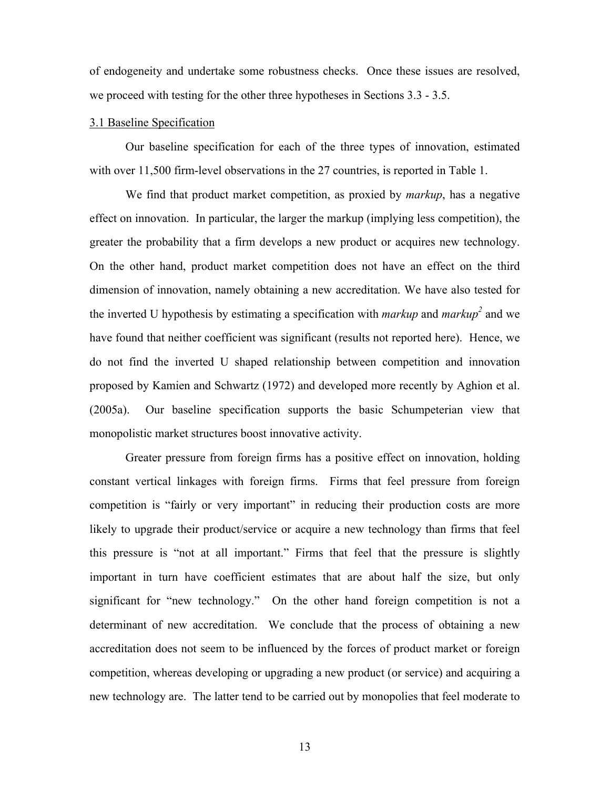of endogeneity and undertake some robustness checks. Once these issues are resolved, we proceed with testing for the other three hypotheses in Sections 3.3 - 3.5.

# 3.1 Baseline Specification

Our baseline specification for each of the three types of innovation, estimated with over 11,500 firm-level observations in the 27 countries, is reported in Table 1.

We find that product market competition, as proxied by *markup*, has a negative effect on innovation. In particular, the larger the markup (implying less competition), the greater the probability that a firm develops a new product or acquires new technology. On the other hand, product market competition does not have an effect on the third dimension of innovation, namely obtaining a new accreditation. We have also tested for the inverted U hypothesis by estimating a specification with *markup* and *markup*<sup>2</sup> and we have found that neither coefficient was significant (results not reported here). Hence, we do not find the inverted U shaped relationship between competition and innovation proposed by Kamien and Schwartz (1972) and developed more recently by Aghion et al. (2005a). Our baseline specification supports the basic Schumpeterian view that monopolistic market structures boost innovative activity.

Greater pressure from foreign firms has a positive effect on innovation, holding constant vertical linkages with foreign firms. Firms that feel pressure from foreign competition is "fairly or very important" in reducing their production costs are more likely to upgrade their product/service or acquire a new technology than firms that feel this pressure is "not at all important." Firms that feel that the pressure is slightly important in turn have coefficient estimates that are about half the size, but only significant for "new technology." On the other hand foreign competition is not a determinant of new accreditation. We conclude that the process of obtaining a new accreditation does not seem to be influenced by the forces of product market or foreign competition, whereas developing or upgrading a new product (or service) and acquiring a new technology are. The latter tend to be carried out by monopolies that feel moderate to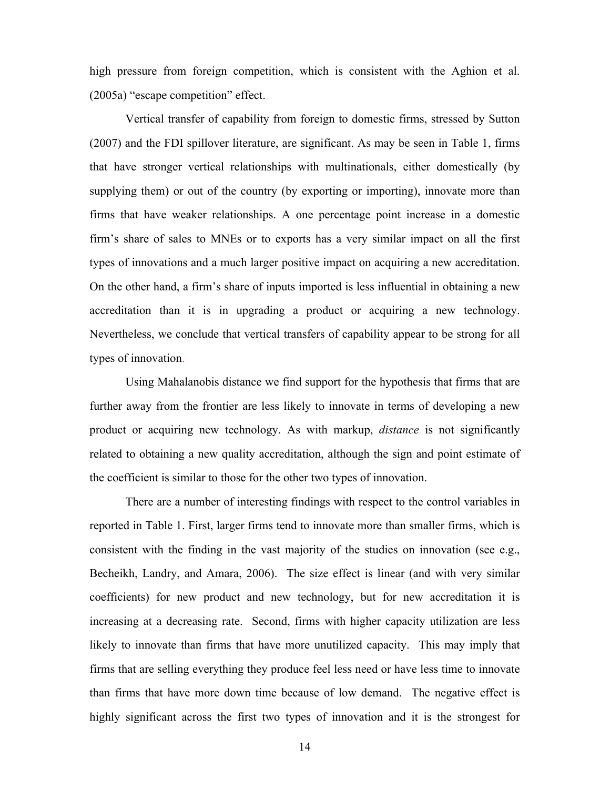high pressure from foreign competition, which is consistent with the Aghion et al. (2005a) "escape competition" effect.

Vertical transfer of capability from foreign to domestic firms, stressed by Sutton (2007) and the FDI spillover literature, are significant. As may be seen in Table 1, firms that have stronger vertical relationships with multinationals, either domestically (by supplying them) or out of the country (by exporting or importing), innovate more than firms that have weaker relationships. A one percentage point increase in a domestic firm's share of sales to MNEs or to exports has a very similar impact on all the first types of innovations and a much larger positive impact on acquiring a new accreditation. On the other hand, a firm's share of inputs imported is less influential in obtaining a new accreditation than it is in upgrading a product or acquiring a new technology. Nevertheless, we conclude that vertical transfers of capability appear to be strong for all types of innovation.

Using Mahalanobis distance we find support for the hypothesis that firms that are further away from the frontier are less likely to innovate in terms of developing a new product or acquiring new technology. As with markup, *distance* is not significantly related to obtaining a new quality accreditation, although the sign and point estimate of the coefficient is similar to those for the other two types of innovation.

There are a number of interesting findings with respect to the control variables in reported in Table 1. First, larger firms tend to innovate more than smaller firms, which is consistent with the finding in the vast majority of the studies on innovation (see e.g., Becheikh, Landry, and Amara, 2006). The size effect is linear (and with very similar coefficients) for new product and new technology, but for new accreditation it is increasing at a decreasing rate. Second, firms with higher capacity utilization are less likely to innovate than firms that have more unutilized capacity. This may imply that firms that are selling everything they produce feel less need or have less time to innovate than firms that have more down time because of low demand. The negative effect is highly significant across the first two types of innovation and it is the strongest for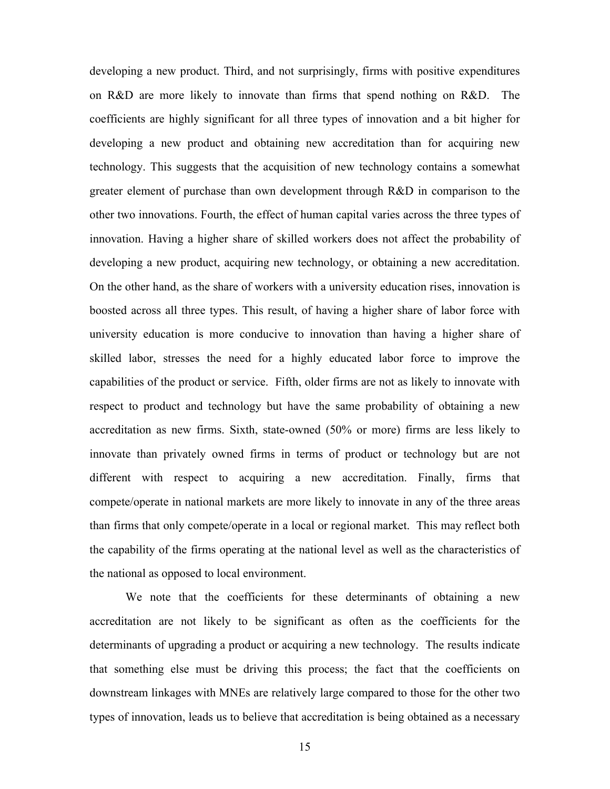developing a new product. Third, and not surprisingly, firms with positive expenditures on R&D are more likely to innovate than firms that spend nothing on R&D. The coefficients are highly significant for all three types of innovation and a bit higher for developing a new product and obtaining new accreditation than for acquiring new technology. This suggests that the acquisition of new technology contains a somewhat greater element of purchase than own development through R&D in comparison to the other two innovations. Fourth, the effect of human capital varies across the three types of innovation. Having a higher share of skilled workers does not affect the probability of developing a new product, acquiring new technology, or obtaining a new accreditation. On the other hand, as the share of workers with a university education rises, innovation is boosted across all three types. This result, of having a higher share of labor force with university education is more conducive to innovation than having a higher share of skilled labor, stresses the need for a highly educated labor force to improve the capabilities of the product or service. Fifth, older firms are not as likely to innovate with respect to product and technology but have the same probability of obtaining a new accreditation as new firms. Sixth, state-owned (50% or more) firms are less likely to innovate than privately owned firms in terms of product or technology but are not different with respect to acquiring a new accreditation. Finally, firms that compete/operate in national markets are more likely to innovate in any of the three areas than firms that only compete/operate in a local or regional market. This may reflect both the capability of the firms operating at the national level as well as the characteristics of the national as opposed to local environment.

We note that the coefficients for these determinants of obtaining a new accreditation are not likely to be significant as often as the coefficients for the determinants of upgrading a product or acquiring a new technology. The results indicate that something else must be driving this process; the fact that the coefficients on downstream linkages with MNEs are relatively large compared to those for the other two types of innovation, leads us to believe that accreditation is being obtained as a necessary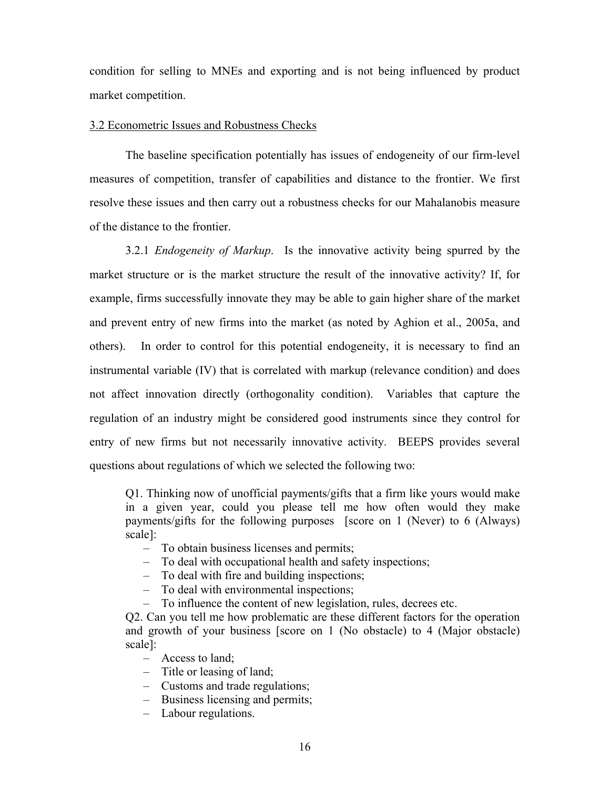condition for selling to MNEs and exporting and is not being influenced by product market competition.

# 3.2 Econometric Issues and Robustness Checks

The baseline specification potentially has issues of endogeneity of our firm-level measures of competition, transfer of capabilities and distance to the frontier. We first resolve these issues and then carry out a robustness checks for our Mahalanobis measure of the distance to the frontier.

3.2.1 *Endogeneity of Markup*. Is the innovative activity being spurred by the market structure or is the market structure the result of the innovative activity? If, for example, firms successfully innovate they may be able to gain higher share of the market and prevent entry of new firms into the market (as noted by Aghion et al., 2005a, and others). In order to control for this potential endogeneity, it is necessary to find an instrumental variable (IV) that is correlated with markup (relevance condition) and does not affect innovation directly (orthogonality condition). Variables that capture the regulation of an industry might be considered good instruments since they control for entry of new firms but not necessarily innovative activity. BEEPS provides several questions about regulations of which we selected the following two:

Q1. Thinking now of unofficial payments/gifts that a firm like yours would make in a given year, could you please tell me how often would they make payments/gifts for the following purposes [score on 1 (Never) to 6 (Always) scale]:

- To obtain business licenses and permits;
- To deal with occupational health and safety inspections;
- To deal with fire and building inspections;
- To deal with environmental inspections;
- To influence the content of new legislation, rules, decrees etc.

Q2. Can you tell me how problematic are these different factors for the operation and growth of your business [score on 1 (No obstacle) to 4 (Major obstacle) scale]:

- Access to land;
- Title or leasing of land;
- Customs and trade regulations;
- Business licensing and permits;
- Labour regulations.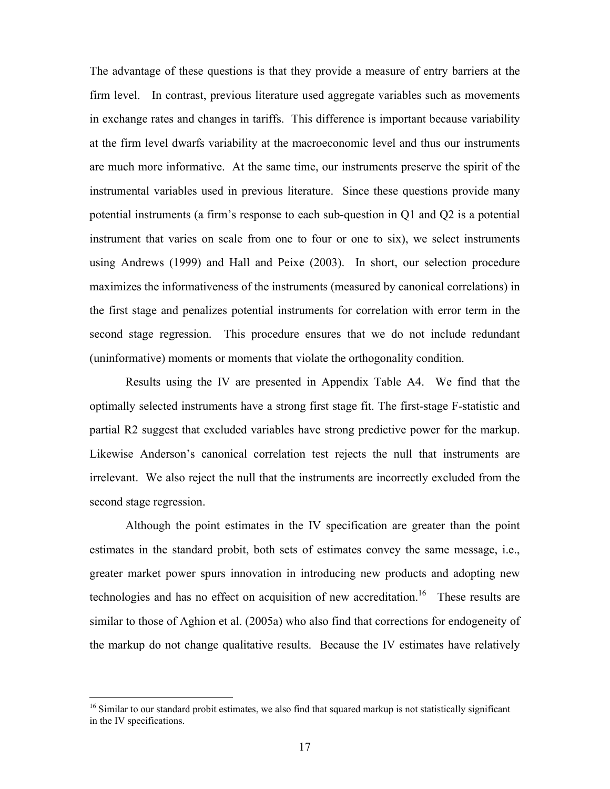The advantage of these questions is that they provide a measure of entry barriers at the firm level. In contrast, previous literature used aggregate variables such as movements in exchange rates and changes in tariffs. This difference is important because variability at the firm level dwarfs variability at the macroeconomic level and thus our instruments are much more informative. At the same time, our instruments preserve the spirit of the instrumental variables used in previous literature. Since these questions provide many potential instruments (a firm's response to each sub-question in Q1 and Q2 is a potential instrument that varies on scale from one to four or one to six), we select instruments using Andrews (1999) and Hall and Peixe (2003). In short, our selection procedure maximizes the informativeness of the instruments (measured by canonical correlations) in the first stage and penalizes potential instruments for correlation with error term in the second stage regression. This procedure ensures that we do not include redundant (uninformative) moments or moments that violate the orthogonality condition.

Results using the IV are presented in Appendix Table A4. We find that the optimally selected instruments have a strong first stage fit. The first-stage F-statistic and partial R2 suggest that excluded variables have strong predictive power for the markup. Likewise Anderson's canonical correlation test rejects the null that instruments are irrelevant. We also reject the null that the instruments are incorrectly excluded from the second stage regression.

Although the point estimates in the IV specification are greater than the point estimates in the standard probit, both sets of estimates convey the same message, i.e., greater market power spurs innovation in introducing new products and adopting new technologies and has no effect on acquisition of new accreditation.<sup>16</sup> These results are similar to those of Aghion et al. (2005a) who also find that corrections for endogeneity of the markup do not change qualitative results. Because the IV estimates have relatively

<sup>&</sup>lt;sup>16</sup> Similar to our standard probit estimates, we also find that squared markup is not statistically significant in the IV specifications.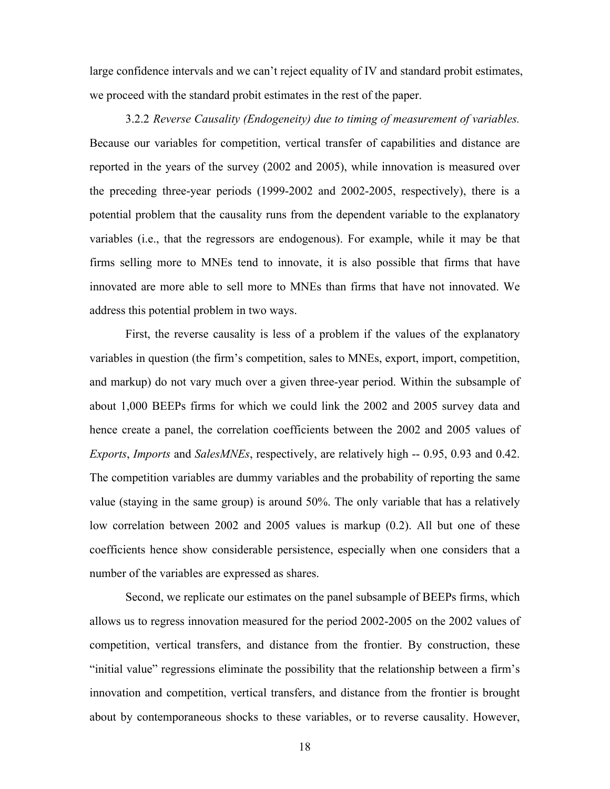large confidence intervals and we can't reject equality of IV and standard probit estimates, we proceed with the standard probit estimates in the rest of the paper.

3.2.2 *Reverse Causality (Endogeneity) due to timing of measurement of variables.*  Because our variables for competition, vertical transfer of capabilities and distance are reported in the years of the survey (2002 and 2005), while innovation is measured over the preceding three-year periods (1999-2002 and 2002-2005, respectively), there is a potential problem that the causality runs from the dependent variable to the explanatory variables (i.e., that the regressors are endogenous). For example, while it may be that firms selling more to MNEs tend to innovate, it is also possible that firms that have innovated are more able to sell more to MNEs than firms that have not innovated. We address this potential problem in two ways.

First, the reverse causality is less of a problem if the values of the explanatory variables in question (the firm's competition, sales to MNEs, export, import, competition, and markup) do not vary much over a given three-year period. Within the subsample of about 1,000 BEEPs firms for which we could link the 2002 and 2005 survey data and hence create a panel, the correlation coefficients between the 2002 and 2005 values of *Exports*, *Imports* and *SalesMNEs*, respectively, are relatively high -- 0.95, 0.93 and 0.42. The competition variables are dummy variables and the probability of reporting the same value (staying in the same group) is around 50%. The only variable that has a relatively low correlation between 2002 and 2005 values is markup (0.2). All but one of these coefficients hence show considerable persistence, especially when one considers that a number of the variables are expressed as shares.

Second, we replicate our estimates on the panel subsample of BEEPs firms, which allows us to regress innovation measured for the period 2002-2005 on the 2002 values of competition, vertical transfers, and distance from the frontier. By construction, these "initial value" regressions eliminate the possibility that the relationship between a firm's innovation and competition, vertical transfers, and distance from the frontier is brought about by contemporaneous shocks to these variables, or to reverse causality. However,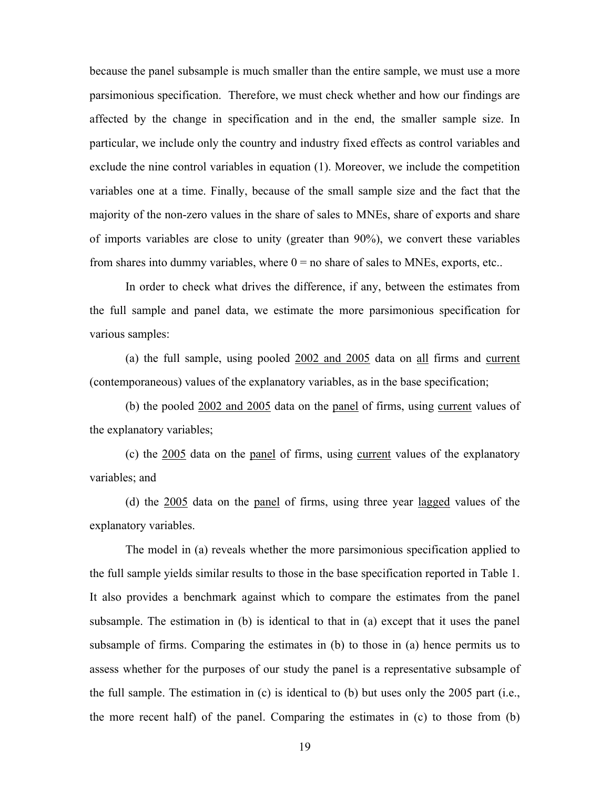because the panel subsample is much smaller than the entire sample, we must use a more parsimonious specification. Therefore, we must check whether and how our findings are affected by the change in specification and in the end, the smaller sample size. In particular, we include only the country and industry fixed effects as control variables and exclude the nine control variables in equation (1). Moreover, we include the competition variables one at a time. Finally, because of the small sample size and the fact that the majority of the non-zero values in the share of sales to MNEs, share of exports and share of imports variables are close to unity (greater than 90%), we convert these variables from shares into dummy variables, where  $0 = no$  share of sales to MNEs, exports, etc..

In order to check what drives the difference, if any, between the estimates from the full sample and panel data, we estimate the more parsimonious specification for various samples:

(a) the full sample, using pooled 2002 and 2005 data on all firms and current (contemporaneous) values of the explanatory variables, as in the base specification;

(b) the pooled 2002 and 2005 data on the panel of firms, using current values of the explanatory variables;

(c) the 2005 data on the panel of firms, using current values of the explanatory variables; and

(d) the 2005 data on the panel of firms, using three year lagged values of the explanatory variables.

The model in (a) reveals whether the more parsimonious specification applied to the full sample yields similar results to those in the base specification reported in Table 1. It also provides a benchmark against which to compare the estimates from the panel subsample. The estimation in (b) is identical to that in (a) except that it uses the panel subsample of firms. Comparing the estimates in (b) to those in (a) hence permits us to assess whether for the purposes of our study the panel is a representative subsample of the full sample. The estimation in (c) is identical to (b) but uses only the 2005 part (i.e., the more recent half) of the panel. Comparing the estimates in (c) to those from (b)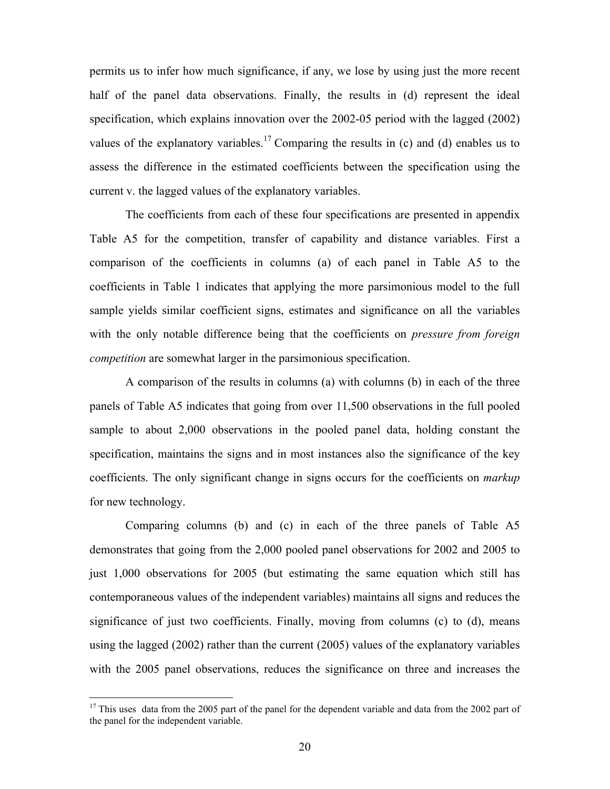permits us to infer how much significance, if any, we lose by using just the more recent half of the panel data observations. Finally, the results in (d) represent the ideal specification, which explains innovation over the 2002-05 period with the lagged (2002) values of the explanatory variables.<sup>17</sup> Comparing the results in  $(c)$  and  $(d)$  enables us to assess the difference in the estimated coefficients between the specification using the current v. the lagged values of the explanatory variables.

The coefficients from each of these four specifications are presented in appendix Table A5 for the competition, transfer of capability and distance variables. First a comparison of the coefficients in columns (a) of each panel in Table A5 to the coefficients in Table 1 indicates that applying the more parsimonious model to the full sample yields similar coefficient signs, estimates and significance on all the variables with the only notable difference being that the coefficients on *pressure from foreign competition* are somewhat larger in the parsimonious specification.

A comparison of the results in columns (a) with columns (b) in each of the three panels of Table A5 indicates that going from over 11,500 observations in the full pooled sample to about 2,000 observations in the pooled panel data, holding constant the specification, maintains the signs and in most instances also the significance of the key coefficients. The only significant change in signs occurs for the coefficients on *markup* for new technology.

Comparing columns (b) and (c) in each of the three panels of Table A5 demonstrates that going from the 2,000 pooled panel observations for 2002 and 2005 to just 1,000 observations for 2005 (but estimating the same equation which still has contemporaneous values of the independent variables) maintains all signs and reduces the significance of just two coefficients. Finally, moving from columns (c) to (d), means using the lagged (2002) rather than the current (2005) values of the explanatory variables with the 2005 panel observations, reduces the significance on three and increases the

 $17$  This uses data from the 2005 part of the panel for the dependent variable and data from the 2002 part of the panel for the independent variable.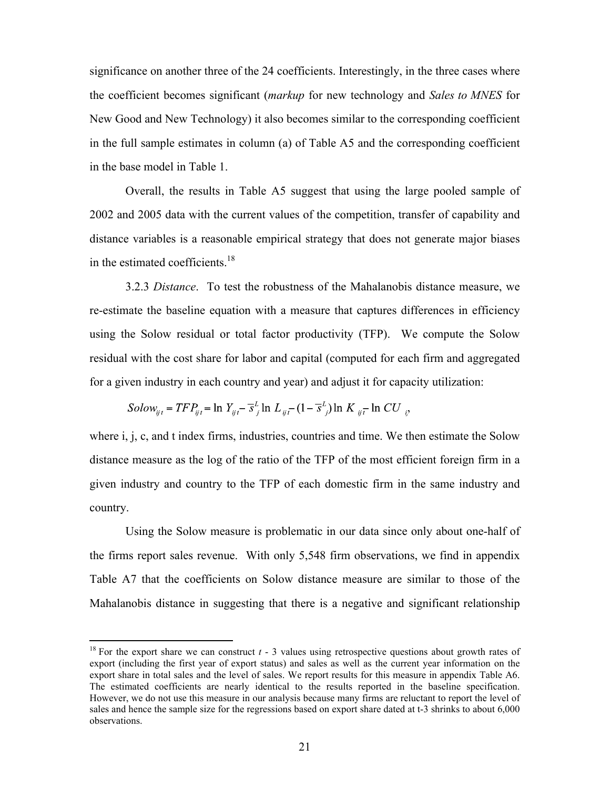significance on another three of the 24 coefficients. Interestingly, in the three cases where the coefficient becomes significant (*markup* for new technology and *Sales to MNES* for New Good and New Technology) it also becomes similar to the corresponding coefficient in the full sample estimates in column (a) of Table A5 and the corresponding coefficient in the base model in Table 1.

Overall, the results in Table A5 suggest that using the large pooled sample of 2002 and 2005 data with the current values of the competition, transfer of capability and distance variables is a reasonable empirical strategy that does not generate major biases in the estimated coefficients.<sup>18</sup>

3.2.3 *Distance*. To test the robustness of the Mahalanobis distance measure, we re-estimate the baseline equation with a measure that captures differences in efficiency using the Solow residual or total factor productivity (TFP). We compute the Solow residual with the cost share for labor and capital (computed for each firm and aggregated for a given industry in each country and year) and adjust it for capacity utilization:

Solow<sub>ijt</sub> = TFP<sub>ijt</sub> = ln Y<sub>ijt</sub> - 
$$
\overline{s}_{j}^{L}
$$
 ln L<sub>ijt</sub> -  $(1 - \overline{s}_{j}^{L})$  ln K<sub>ijt</sub> ln CU<sub>ijt</sub>

where i, j, c, and t index firms, industries, countries and time. We then estimate the Solow distance measure as the log of the ratio of the TFP of the most efficient foreign firm in a given industry and country to the TFP of each domestic firm in the same industry and country.

Using the Solow measure is problematic in our data since only about one-half of the firms report sales revenue. With only 5,548 firm observations, we find in appendix Table A7 that the coefficients on Solow distance measure are similar to those of the Mahalanobis distance in suggesting that there is a negative and significant relationship

<sup>&</sup>lt;sup>18</sup> For the export share we can construct  $t - 3$  values using retrospective questions about growth rates of export (including the first year of export status) and sales as well as the current year information on the export share in total sales and the level of sales. We report results for this measure in appendix Table A6. The estimated coefficients are nearly identical to the results reported in the baseline specification. However, we do not use this measure in our analysis because many firms are reluctant to report the level of sales and hence the sample size for the regressions based on export share dated at t-3 shrinks to about 6,000 observations.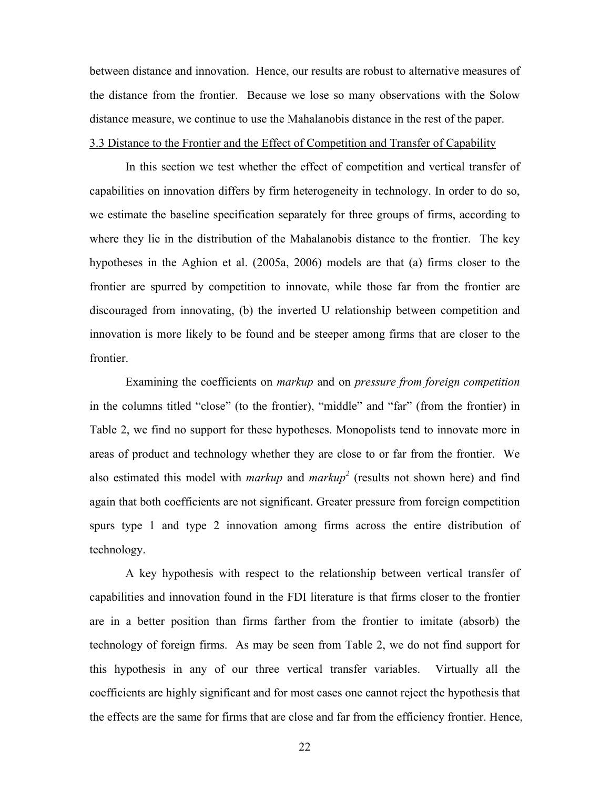between distance and innovation. Hence, our results are robust to alternative measures of the distance from the frontier. Because we lose so many observations with the Solow distance measure, we continue to use the Mahalanobis distance in the rest of the paper. 3.3 Distance to the Frontier and the Effect of Competition and Transfer of Capability

In this section we test whether the effect of competition and vertical transfer of capabilities on innovation differs by firm heterogeneity in technology. In order to do so, we estimate the baseline specification separately for three groups of firms, according to where they lie in the distribution of the Mahalanobis distance to the frontier. The key hypotheses in the Aghion et al. (2005a, 2006) models are that (a) firms closer to the frontier are spurred by competition to innovate, while those far from the frontier are discouraged from innovating, (b) the inverted U relationship between competition and innovation is more likely to be found and be steeper among firms that are closer to the frontier.

Examining the coefficients on *markup* and on *pressure from foreign competition* in the columns titled "close" (to the frontier), "middle" and "far" (from the frontier) in Table 2, we find no support for these hypotheses. Monopolists tend to innovate more in areas of product and technology whether they are close to or far from the frontier. We also estimated this model with *markup* and *markup<sup>2</sup>* (results not shown here) and find again that both coefficients are not significant. Greater pressure from foreign competition spurs type 1 and type 2 innovation among firms across the entire distribution of technology.

A key hypothesis with respect to the relationship between vertical transfer of capabilities and innovation found in the FDI literature is that firms closer to the frontier are in a better position than firms farther from the frontier to imitate (absorb) the technology of foreign firms. As may be seen from Table 2, we do not find support for this hypothesis in any of our three vertical transfer variables. Virtually all the coefficients are highly significant and for most cases one cannot reject the hypothesis that the effects are the same for firms that are close and far from the efficiency frontier. Hence,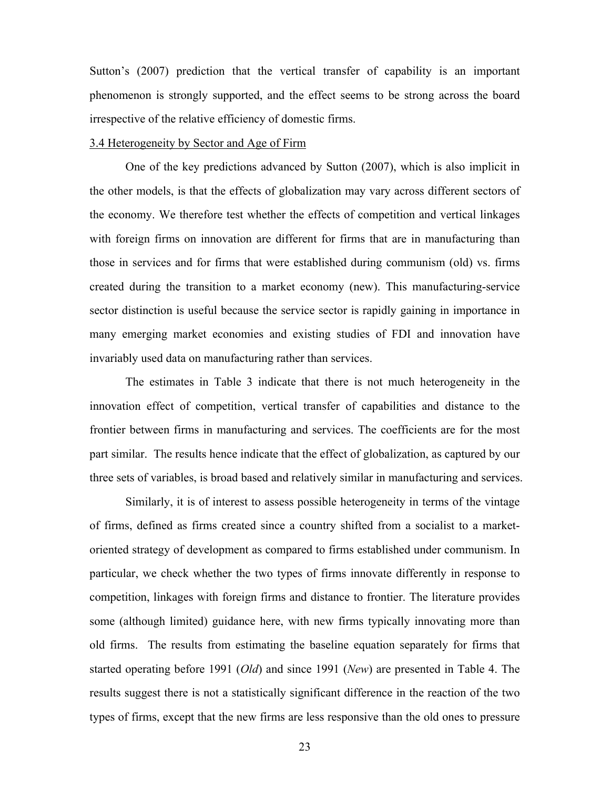Sutton's (2007) prediction that the vertical transfer of capability is an important phenomenon is strongly supported, and the effect seems to be strong across the board irrespective of the relative efficiency of domestic firms.

#### 3.4 Heterogeneity by Sector and Age of Firm

One of the key predictions advanced by Sutton (2007), which is also implicit in the other models, is that the effects of globalization may vary across different sectors of the economy. We therefore test whether the effects of competition and vertical linkages with foreign firms on innovation are different for firms that are in manufacturing than those in services and for firms that were established during communism (old) vs. firms created during the transition to a market economy (new). This manufacturing-service sector distinction is useful because the service sector is rapidly gaining in importance in many emerging market economies and existing studies of FDI and innovation have invariably used data on manufacturing rather than services.

The estimates in Table 3 indicate that there is not much heterogeneity in the innovation effect of competition, vertical transfer of capabilities and distance to the frontier between firms in manufacturing and services. The coefficients are for the most part similar. The results hence indicate that the effect of globalization, as captured by our three sets of variables, is broad based and relatively similar in manufacturing and services.

Similarly, it is of interest to assess possible heterogeneity in terms of the vintage of firms, defined as firms created since a country shifted from a socialist to a marketoriented strategy of development as compared to firms established under communism. In particular, we check whether the two types of firms innovate differently in response to competition, linkages with foreign firms and distance to frontier. The literature provides some (although limited) guidance here, with new firms typically innovating more than old firms. The results from estimating the baseline equation separately for firms that started operating before 1991 (*Old*) and since 1991 (*New*) are presented in Table 4. The results suggest there is not a statistically significant difference in the reaction of the two types of firms, except that the new firms are less responsive than the old ones to pressure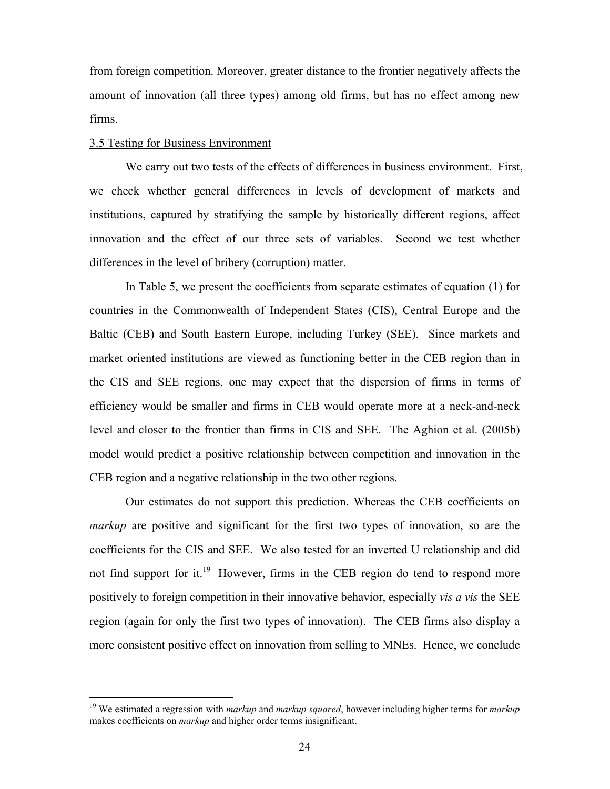from foreign competition. Moreover, greater distance to the frontier negatively affects the amount of innovation (all three types) among old firms, but has no effect among new firms.

# 3.5 Testing for Business Environment

We carry out two tests of the effects of differences in business environment. First, we check whether general differences in levels of development of markets and institutions, captured by stratifying the sample by historically different regions, affect innovation and the effect of our three sets of variables. Second we test whether differences in the level of bribery (corruption) matter.

In Table 5, we present the coefficients from separate estimates of equation (1) for countries in the Commonwealth of Independent States (CIS), Central Europe and the Baltic (CEB) and South Eastern Europe, including Turkey (SEE). Since markets and market oriented institutions are viewed as functioning better in the CEB region than in the CIS and SEE regions, one may expect that the dispersion of firms in terms of efficiency would be smaller and firms in CEB would operate more at a neck-and-neck level and closer to the frontier than firms in CIS and SEE. The Aghion et al. (2005b) model would predict a positive relationship between competition and innovation in the CEB region and a negative relationship in the two other regions.

Our estimates do not support this prediction. Whereas the CEB coefficients on *markup* are positive and significant for the first two types of innovation, so are the coefficients for the CIS and SEE. We also tested for an inverted U relationship and did not find support for it.<sup>19</sup> However, firms in the CEB region do tend to respond more positively to foreign competition in their innovative behavior, especially *vis a vis* the SEE region (again for only the first two types of innovation). The CEB firms also display a more consistent positive effect on innovation from selling to MNEs. Hence, we conclude

 <sup>19</sup> We estimated a regression with *markup* and *markup squared*, however including higher terms for *markup* makes coefficients on *markup* and higher order terms insignificant.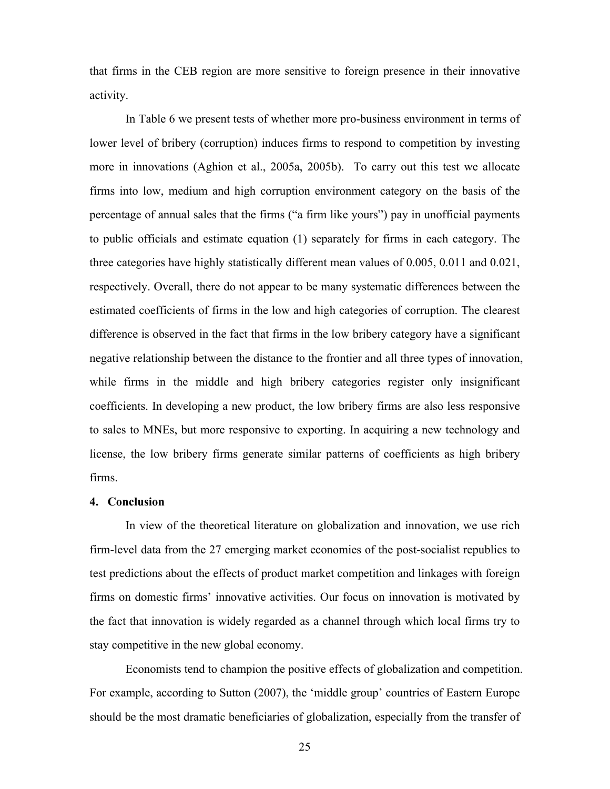that firms in the CEB region are more sensitive to foreign presence in their innovative activity.

In Table 6 we present tests of whether more pro-business environment in terms of lower level of bribery (corruption) induces firms to respond to competition by investing more in innovations (Aghion et al., 2005a, 2005b). To carry out this test we allocate firms into low, medium and high corruption environment category on the basis of the percentage of annual sales that the firms ("a firm like yours") pay in unofficial payments to public officials and estimate equation (1) separately for firms in each category. The three categories have highly statistically different mean values of 0.005, 0.011 and 0.021, respectively. Overall, there do not appear to be many systematic differences between the estimated coefficients of firms in the low and high categories of corruption. The clearest difference is observed in the fact that firms in the low bribery category have a significant negative relationship between the distance to the frontier and all three types of innovation, while firms in the middle and high bribery categories register only insignificant coefficients. In developing a new product, the low bribery firms are also less responsive to sales to MNEs, but more responsive to exporting. In acquiring a new technology and license, the low bribery firms generate similar patterns of coefficients as high bribery firms.

#### **4. Conclusion**

In view of the theoretical literature on globalization and innovation, we use rich firm-level data from the 27 emerging market economies of the post-socialist republics to test predictions about the effects of product market competition and linkages with foreign firms on domestic firms' innovative activities. Our focus on innovation is motivated by the fact that innovation is widely regarded as a channel through which local firms try to stay competitive in the new global economy.

Economists tend to champion the positive effects of globalization and competition. For example, according to Sutton (2007), the 'middle group' countries of Eastern Europe should be the most dramatic beneficiaries of globalization, especially from the transfer of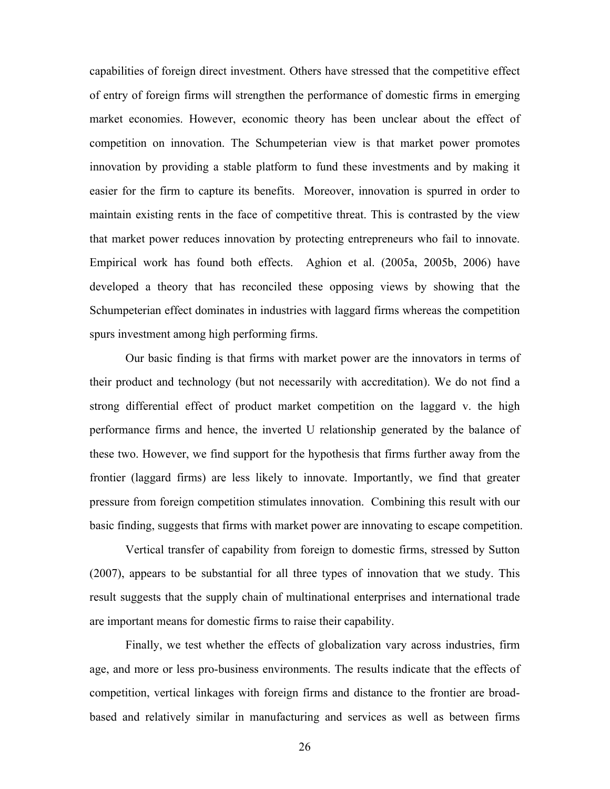capabilities of foreign direct investment. Others have stressed that the competitive effect of entry of foreign firms will strengthen the performance of domestic firms in emerging market economies. However, economic theory has been unclear about the effect of competition on innovation. The Schumpeterian view is that market power promotes innovation by providing a stable platform to fund these investments and by making it easier for the firm to capture its benefits. Moreover, innovation is spurred in order to maintain existing rents in the face of competitive threat. This is contrasted by the view that market power reduces innovation by protecting entrepreneurs who fail to innovate. Empirical work has found both effects. Aghion et al. (2005a, 2005b, 2006) have developed a theory that has reconciled these opposing views by showing that the Schumpeterian effect dominates in industries with laggard firms whereas the competition spurs investment among high performing firms.

Our basic finding is that firms with market power are the innovators in terms of their product and technology (but not necessarily with accreditation). We do not find a strong differential effect of product market competition on the laggard v. the high performance firms and hence, the inverted U relationship generated by the balance of these two. However, we find support for the hypothesis that firms further away from the frontier (laggard firms) are less likely to innovate. Importantly, we find that greater pressure from foreign competition stimulates innovation. Combining this result with our basic finding, suggests that firms with market power are innovating to escape competition.

Vertical transfer of capability from foreign to domestic firms, stressed by Sutton (2007), appears to be substantial for all three types of innovation that we study. This result suggests that the supply chain of multinational enterprises and international trade are important means for domestic firms to raise their capability.

Finally, we test whether the effects of globalization vary across industries, firm age, and more or less pro-business environments. The results indicate that the effects of competition, vertical linkages with foreign firms and distance to the frontier are broadbased and relatively similar in manufacturing and services as well as between firms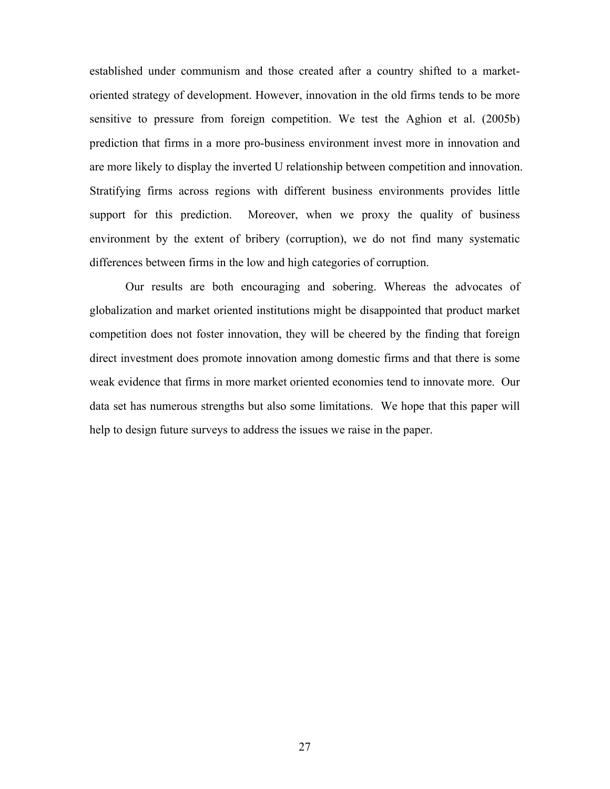established under communism and those created after a country shifted to a marketoriented strategy of development. However, innovation in the old firms tends to be more sensitive to pressure from foreign competition. We test the Aghion et al. (2005b) prediction that firms in a more pro-business environment invest more in innovation and are more likely to display the inverted U relationship between competition and innovation. Stratifying firms across regions with different business environments provides little support for this prediction. Moreover, when we proxy the quality of business environment by the extent of bribery (corruption), we do not find many systematic differences between firms in the low and high categories of corruption.

Our results are both encouraging and sobering. Whereas the advocates of globalization and market oriented institutions might be disappointed that product market competition does not foster innovation, they will be cheered by the finding that foreign direct investment does promote innovation among domestic firms and that there is some weak evidence that firms in more market oriented economies tend to innovate more. Our data set has numerous strengths but also some limitations. We hope that this paper will help to design future surveys to address the issues we raise in the paper.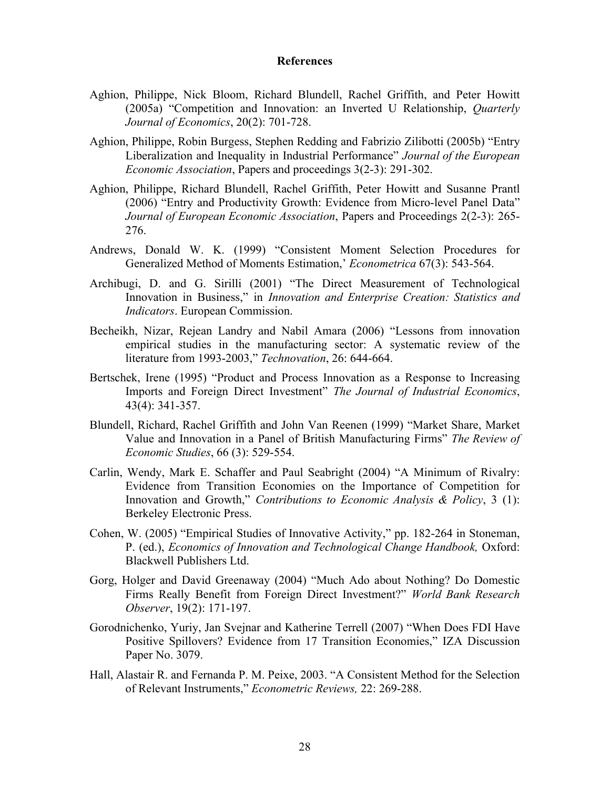#### **References**

- Aghion, Philippe, Nick Bloom, Richard Blundell, Rachel Griffith, and Peter Howitt (2005a) "Competition and Innovation: an Inverted U Relationship, *Quarterly Journal of Economics*, 20(2): 701-728.
- Aghion, Philippe, Robin Burgess, Stephen Redding and Fabrizio Zilibotti (2005b) "Entry Liberalization and Inequality in Industrial Performance" *Journal of the European Economic Association*, Papers and proceedings 3(2-3): 291-302.
- Aghion, Philippe, Richard Blundell, Rachel Griffith, Peter Howitt and Susanne Prantl (2006) "Entry and Productivity Growth: Evidence from Micro-level Panel Data" *Journal of European Economic Association*, Papers and Proceedings 2(2-3): 265- 276.
- Andrews, Donald W. K. (1999) "Consistent Moment Selection Procedures for Generalized Method of Moments Estimation,' *Econometrica* 67(3): 543-564.
- Archibugi, D. and G. Sirilli (2001) "The Direct Measurement of Technological Innovation in Business," in *Innovation and Enterprise Creation: Statistics and Indicators*. European Commission.
- Becheikh, Nizar, Rejean Landry and Nabil Amara (2006) "Lessons from innovation empirical studies in the manufacturing sector: A systematic review of the literature from 1993-2003," *Technovation*, 26: 644-664.
- Bertschek, Irene (1995) "Product and Process Innovation as a Response to Increasing Imports and Foreign Direct Investment" *The Journal of Industrial Economics*, 43(4): 341-357.
- Blundell, Richard, Rachel Griffith and John Van Reenen (1999) "Market Share, Market Value and Innovation in a Panel of British Manufacturing Firms" *The Review of Economic Studies*, 66 (3): 529-554.
- Carlin, Wendy, Mark E. Schaffer and Paul Seabright (2004) "A Minimum of Rivalry: Evidence from Transition Economies on the Importance of Competition for Innovation and Growth," *Contributions to Economic Analysis & Policy*, 3 (1): Berkeley Electronic Press.
- Cohen, W. (2005) "Empirical Studies of Innovative Activity," pp. 182-264 in Stoneman, P. (ed.), *Economics of Innovation and Technological Change Handbook,* Oxford: Blackwell Publishers Ltd.
- Gorg, Holger and David Greenaway (2004) "Much Ado about Nothing? Do Domestic Firms Really Benefit from Foreign Direct Investment?" *World Bank Research Observer*, 19(2): 171-197.
- Gorodnichenko, Yuriy, Jan Svejnar and Katherine Terrell (2007) "When Does FDI Have Positive Spillovers? Evidence from 17 Transition Economies," IZA Discussion Paper No. 3079.
- Hall, Alastair R. and Fernanda P. M. Peixe, 2003. "A Consistent Method for the Selection of Relevant Instruments," *Econometric Reviews,* 22: 269-288.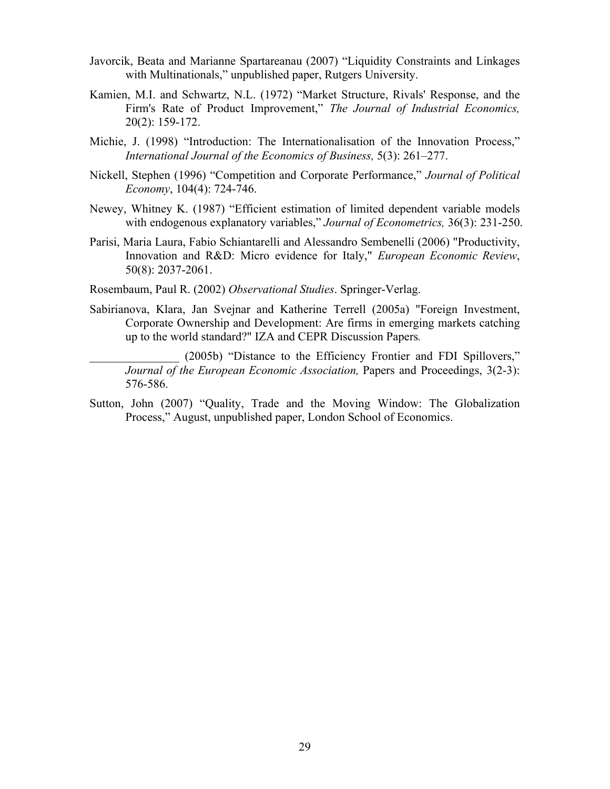- Javorcik, Beata and Marianne Spartareanau (2007) "Liquidity Constraints and Linkages with Multinationals," unpublished paper, Rutgers University.
- Kamien, M.I. and Schwartz, N.L. (1972) "Market Structure, Rivals' Response, and the Firm's Rate of Product Improvement," *The Journal of Industrial Economics,* 20(2): 159-172.
- Michie, J. (1998) "Introduction: The Internationalisation of the Innovation Process," *International Journal of the Economics of Business,* 5(3): 261–277.
- Nickell, Stephen (1996) "Competition and Corporate Performance," *Journal of Political Economy*, 104(4): 724-746.
- Newey, Whitney K. (1987) "Efficient estimation of limited dependent variable models with endogenous explanatory variables," *Journal of Econometrics,* 36(3): 231-250.
- Parisi, Maria Laura, Fabio Schiantarelli and Alessandro Sembenelli (2006) "Productivity, Innovation and R&D: Micro evidence for Italy," *European Economic Review*, 50(8): 2037-2061.
- Rosembaum, Paul R. (2002) *Observational Studies*. Springer-Verlag.
- Sabirianova, Klara, Jan Svejnar and Katherine Terrell (2005a) "Foreign Investment, Corporate Ownership and Development: Are firms in emerging markets catching up to the world standard?" IZA and CEPR Discussion Papers*.*

(2005b) "Distance to the Efficiency Frontier and FDI Spillovers," *Journal of the European Economic Association, Papers and Proceedings, 3(2-3):* 576-586.

Sutton, John (2007) "Quality, Trade and the Moving Window: The Globalization Process," August, unpublished paper, London School of Economics.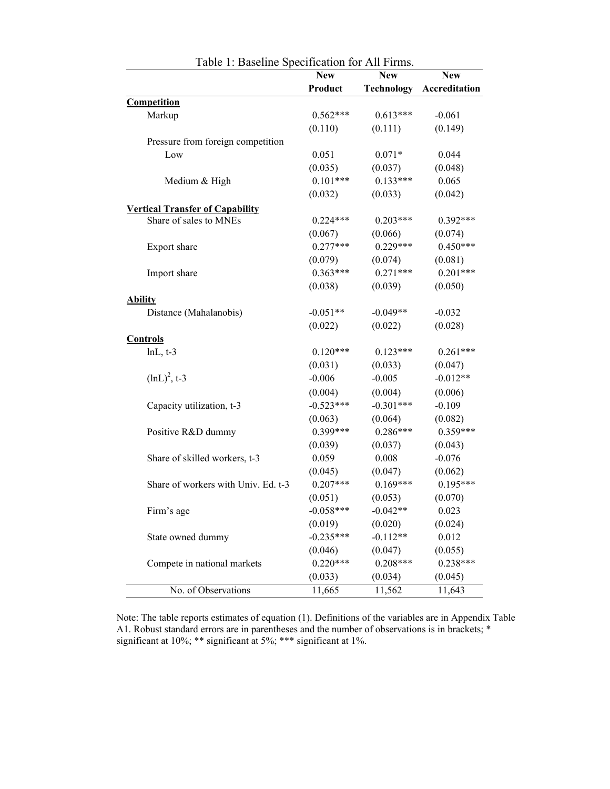|                                        | <b>New</b>  | <b>New</b>  | <b>New</b>    |
|----------------------------------------|-------------|-------------|---------------|
|                                        | Product     | Technology  | Accreditation |
| Competition                            |             |             |               |
| Markup                                 | $0.562***$  | $0.613***$  | $-0.061$      |
|                                        | (0.110)     | (0.111)     | (0.149)       |
| Pressure from foreign competition      |             |             |               |
| Low                                    | 0.051       | $0.071*$    | 0.044         |
|                                        | (0.035)     | (0.037)     | (0.048)       |
| Medium & High                          | $0.101***$  | $0.133***$  | 0.065         |
|                                        | (0.032)     | (0.033)     | (0.042)       |
| <b>Vertical Transfer of Capability</b> |             |             |               |
| Share of sales to MNEs                 | $0.224***$  | $0.203***$  | $0.392***$    |
|                                        | (0.067)     | (0.066)     | (0.074)       |
| Export share                           | $0.277***$  | $0.229***$  | $0.450***$    |
|                                        | (0.079)     | (0.074)     | (0.081)       |
| Import share                           | $0.363***$  | $0.271***$  | $0.201***$    |
|                                        | (0.038)     | (0.039)     | (0.050)       |
| <b>Ability</b>                         |             |             |               |
| Distance (Mahalanobis)                 | $-0.051**$  | $-0.049**$  | $-0.032$      |
|                                        | (0.022)     | (0.022)     | (0.028)       |
| <b>Controls</b>                        |             |             |               |
| $lnL, t-3$                             | $0.120***$  | $0.123***$  | $0.261***$    |
|                                        | (0.031)     | (0.033)     | (0.047)       |
| $(lnL)^{2}$ , t-3                      | $-0.006$    | $-0.005$    | $-0.012**$    |
|                                        | (0.004)     | (0.004)     | (0.006)       |
| Capacity utilization, t-3              | $-0.523***$ | $-0.301***$ | $-0.109$      |
|                                        | (0.063)     | (0.064)     | (0.082)       |
| Positive R&D dummy                     | $0.399***$  | $0.286***$  | $0.359***$    |
|                                        | (0.039)     | (0.037)     | (0.043)       |
| Share of skilled workers, t-3          | 0.059       | 0.008       | $-0.076$      |
|                                        | (0.045)     | (0.047)     | (0.062)       |
| Share of workers with Univ. Ed. t-3    | $0.207***$  | $0.169***$  | $0.195***$    |
|                                        | (0.051)     | (0.053)     | (0.070)       |
| Firm's age                             | $-0.058***$ | $-0.042**$  | 0.023         |
|                                        | (0.019)     | (0.020)     | (0.024)       |
| State owned dummy                      | $-0.235***$ | $-0.112**$  | 0.012         |
|                                        | (0.046)     | (0.047)     | (0.055)       |
| Compete in national markets            | $0.220***$  | $0.208***$  | $0.238***$    |
|                                        | (0.033)     | (0.034)     | (0.045)       |
| No. of Observations                    | 11,665      | 11,562      | 11,643        |

Table 1: Baseline Specification for All Firms.

Note: The table reports estimates of equation (1). Definitions of the variables are in Appendix Table A1. Robust standard errors are in parentheses and the number of observations is in brackets; \* significant at 10%; \*\* significant at 5%; \*\*\* significant at 1%.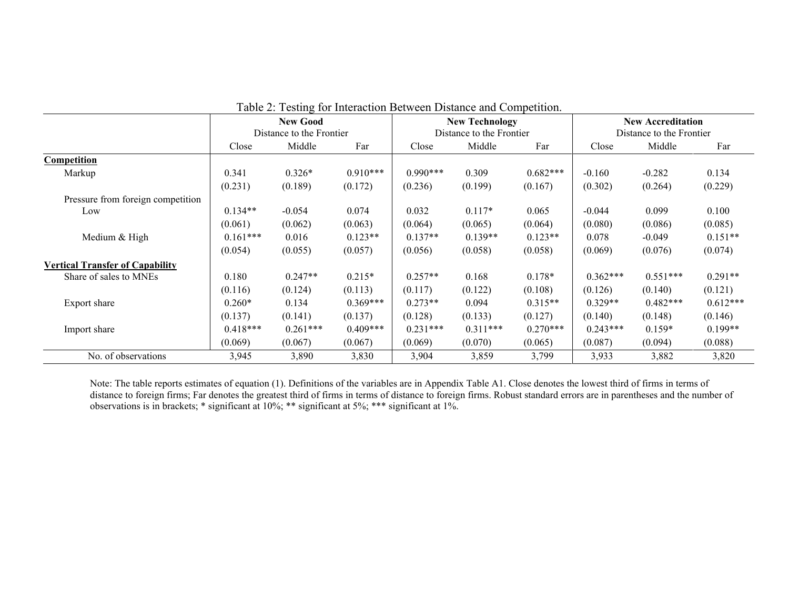|                                        |            | <b>New Good</b>          |            |            | <b>New Technology</b>    |            | <b>New Accreditation</b><br>Distance to the Frontier |            |            |  |
|----------------------------------------|------------|--------------------------|------------|------------|--------------------------|------------|------------------------------------------------------|------------|------------|--|
|                                        |            | Distance to the Frontier |            |            | Distance to the Frontier |            |                                                      |            |            |  |
|                                        | Close      | Middle<br>Far            |            | Close      | Middle                   | Far        | Close                                                | Middle     | Far        |  |
| Competition                            |            |                          |            |            |                          |            |                                                      |            |            |  |
| Markup                                 | 0.341      | $0.326*$                 | $0.910***$ | $0.990***$ | 0.309                    | $0.682***$ | $-0.160$                                             | $-0.282$   | 0.134      |  |
|                                        | (0.231)    | (0.189)                  | (0.172)    | (0.236)    | (0.199)                  | (0.167)    | (0.302)                                              | (0.264)    | (0.229)    |  |
| Pressure from foreign competition      |            |                          |            |            |                          |            |                                                      |            |            |  |
| Low                                    | $0.134**$  | $-0.054$                 | 0.074      | 0.032      | $0.117*$                 | 0.065      | $-0.044$                                             | 0.099      | 0.100      |  |
|                                        | (0.061)    | (0.062)                  | (0.063)    | (0.064)    | (0.065)                  | (0.064)    | (0.080)                                              | (0.086)    | (0.085)    |  |
| Medium & High                          | $0.161***$ | 0.016                    | $0.123**$  | $0.137**$  | $0.139**$                | $0.123**$  | 0.078                                                | $-0.049$   | $0.151**$  |  |
|                                        | (0.054)    | (0.055)                  | (0.057)    | (0.056)    | (0.058)                  | (0.058)    | (0.069)                                              | (0.076)    | (0.074)    |  |
| <b>Vertical Transfer of Capability</b> |            |                          |            |            |                          |            |                                                      |            |            |  |
| Share of sales to MNEs                 | 0.180      | $0.247**$                | $0.215*$   | $0.257**$  | 0.168                    | $0.178*$   | $0.362***$                                           | $0.551***$ | $0.291**$  |  |
|                                        | (0.116)    | (0.124)                  | (0.113)    | (0.117)    | (0.122)                  | (0.108)    | (0.126)                                              | (0.140)    | (0.121)    |  |
| Export share                           | $0.260*$   | 0.134                    | $0.369***$ | $0.273**$  | 0.094                    | $0.315**$  | $0.329**$                                            | $0.482***$ | $0.612***$ |  |
|                                        | (0.137)    | (0.141)                  | (0.137)    | (0.128)    | (0.133)                  | (0.127)    | (0.140)                                              | (0.148)    | (0.146)    |  |
| Import share                           | $0.418***$ | $0.261***$               | $0.409***$ | $0.231***$ | $0.311***$               | $0.270***$ | $0.243***$                                           | $0.159*$   | $0.199**$  |  |
|                                        | (0.069)    | (0.067)                  | (0.067)    | (0.069)    | (0.070)                  | (0.065)    | (0.087)                                              | (0.094)    | (0.088)    |  |
| No. of observations                    | 3,945      | 3,890                    | 3,830      | 3,904      | 3,859                    | 3,799      | 3,933                                                | 3,882      | 3,820      |  |

Table 2: Testing for Interaction Between Distance and Competition.

Note: The table reports estimates of equation (1). Definitions of the variables are in Appendix Table A1. Close denotes the lowest third of firms in terms of distance to foreign firms; Far denotes the greatest third of firms in terms of distance to foreign firms. Robust standard errors are in parentheses and the number of observations is in brackets; \* significant at 10%; \*\* significant at 5%; \*\*\* significant at 1%.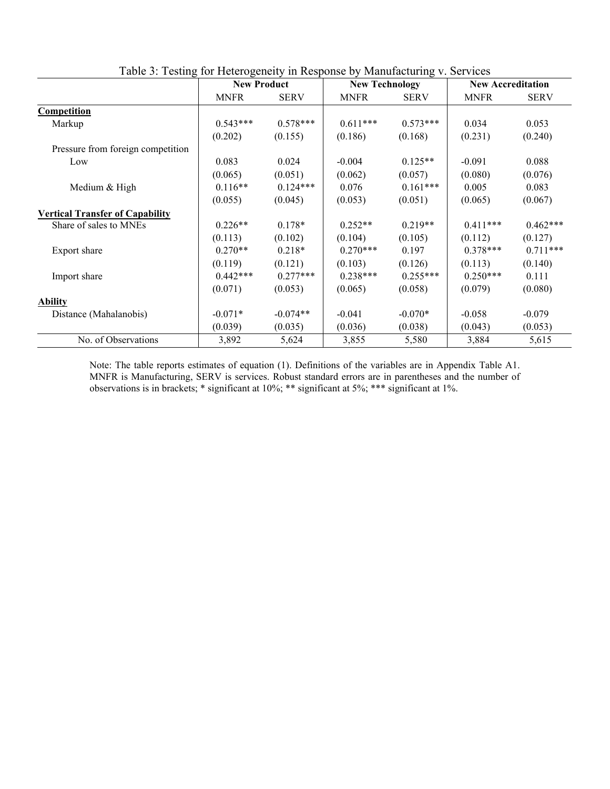|                                        | $\frac{1}{2}$<br><b>New Product</b> |             | <b>New Technology</b> |             | <b>New Accreditation</b> |             |
|----------------------------------------|-------------------------------------|-------------|-----------------------|-------------|--------------------------|-------------|
|                                        | <b>MNFR</b>                         | <b>SERV</b> | <b>MNFR</b>           | <b>SERV</b> | <b>MNFR</b>              | <b>SERV</b> |
| <b>Competition</b>                     |                                     |             |                       |             |                          |             |
| Markup                                 | $0.543***$                          | $0.578***$  | $0.611***$            | $0.573***$  | 0.034                    | 0.053       |
|                                        | (0.202)                             | (0.155)     | (0.186)               | (0.168)     | (0.231)                  | (0.240)     |
| Pressure from foreign competition      |                                     |             |                       |             |                          |             |
| Low                                    | 0.083                               | 0.024       | $-0.004$              | $0.125**$   | $-0.091$                 | 0.088       |
|                                        | (0.065)                             | (0.051)     | (0.062)               | (0.057)     | (0.080)                  | (0.076)     |
| Medium & High                          | $0.116**$                           | $0.124***$  | 0.076                 | $0.161***$  | 0.005                    | 0.083       |
|                                        | (0.055)                             | (0.045)     | (0.053)               | (0.051)     | (0.065)                  | (0.067)     |
| <b>Vertical Transfer of Capability</b> |                                     |             |                       |             |                          |             |
| Share of sales to MNEs                 | $0.226**$                           | $0.178*$    | $0.252**$             | $0.219**$   | $0.411***$               | $0.462***$  |
|                                        | (0.113)                             | (0.102)     | (0.104)               | (0.105)     | (0.112)                  | (0.127)     |
| Export share                           | $0.270**$                           | $0.218*$    | $0.270***$            | 0.197       | $0.378***$               | $0.711***$  |
|                                        | (0.119)                             | (0.121)     | (0.103)               | (0.126)     | (0.113)                  | (0.140)     |
| Import share                           | $0.442***$                          | $0.277***$  | $0.238***$            | $0.255***$  | $0.250***$               | 0.111       |
|                                        | (0.071)                             | (0.053)     | (0.065)               | (0.058)     | (0.079)                  | (0.080)     |
| <b>Ability</b>                         |                                     |             |                       |             |                          |             |
| Distance (Mahalanobis)                 | $-0.071*$                           | $-0.074**$  | $-0.041$              | $-0.070*$   | $-0.058$                 | $-0.079$    |
|                                        | (0.039)                             | (0.035)     | (0.036)               | (0.038)     | (0.043)                  | (0.053)     |
| No. of Observations                    | 3,892                               | 5,624       | 3,855                 | 5,580       | 3,884                    | 5,615       |

Table 3: Testing for Heterogeneity in Response by Manufacturing v. Services

Note: The table reports estimates of equation (1). Definitions of the variables are in Appendix Table A1. MNFR is Manufacturing, SERV is services. Robust standard errors are in parentheses and the number of observations is in brackets; \* significant at 10%; \*\* significant at 5%; \*\*\* significant at 1%.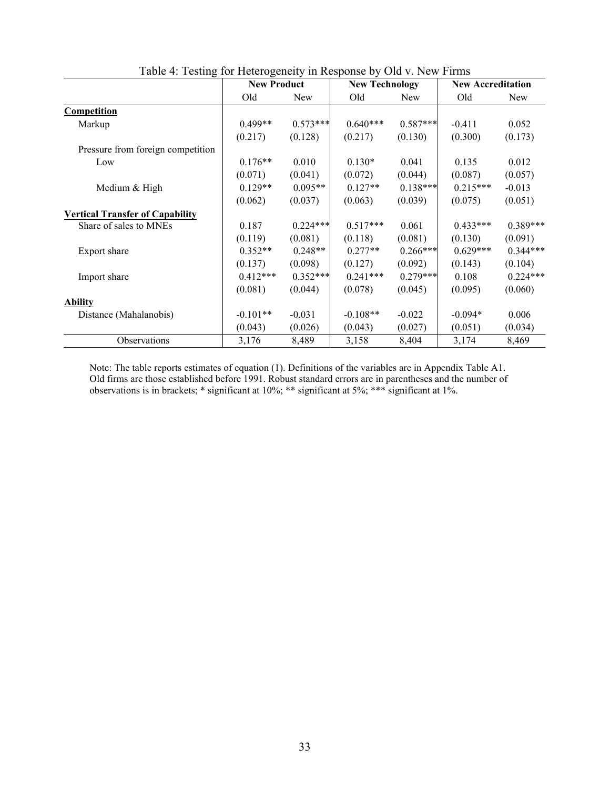|                                        | <b>New Product</b> |            | <b>New Technology</b> |            | <b>New Accreditation</b> |            |
|----------------------------------------|--------------------|------------|-----------------------|------------|--------------------------|------------|
|                                        | Old                | New        | Old                   | <b>New</b> | Old                      | New        |
| Competition                            |                    |            |                       |            |                          |            |
| Markup                                 | $0.499**$          | $0.573***$ | $0.640***$            | $0.587***$ | $-0.411$                 | 0.052      |
|                                        | (0.217)            | (0.128)    | (0.217)               | (0.130)    | (0.300)                  | (0.173)    |
| Pressure from foreign competition      |                    |            |                       |            |                          |            |
| Low                                    | $0.176**$          | 0.010      | $0.130*$              | 0.041      | 0.135                    | 0.012      |
|                                        | (0.071)            | (0.041)    | (0.072)               | (0.044)    | (0.087)                  | (0.057)    |
| Medium & High                          | $0.129**$          | $0.095**$  | $0.127**$             | $0.138***$ | $0.215***$               | $-0.013$   |
|                                        | (0.062)            | (0.037)    | (0.063)               | (0.039)    | (0.075)                  | (0.051)    |
| <b>Vertical Transfer of Capability</b> |                    |            |                       |            |                          |            |
| Share of sales to MNEs                 | 0.187              | $0.224***$ | $0.517***$            | 0.061      | $0.433***$               | $0.389***$ |
|                                        | (0.119)            | (0.081)    | (0.118)               | (0.081)    | (0.130)                  | (0.091)    |
| Export share                           | $0.352**$          | $0.248**$  | $0.277**$             | $0.266***$ | $0.629***$               | $0.344***$ |
|                                        | (0.137)            | (0.098)    | (0.127)               | (0.092)    | (0.143)                  | (0.104)    |
| Import share                           | $0.412***$         | $0.352***$ | $0.241***$            | $0.279***$ | 0.108                    | $0.224***$ |
|                                        | (0.081)            | (0.044)    | (0.078)               | (0.045)    | (0.095)                  | (0.060)    |
| <b>Ability</b>                         |                    |            |                       |            |                          |            |
| Distance (Mahalanobis)                 | $-0.101**$         | $-0.031$   | $-0.108**$            | $-0.022$   | $-0.094*$                | 0.006      |
|                                        | (0.043)            | (0.026)    | (0.043)               | (0.027)    | (0.051)                  | (0.034)    |
| Observations                           | 3,176              | 8,489      | 3,158                 | 8,404      | 3,174                    | 8,469      |

Table 4: Testing for Heterogeneity in Response by Old v. New Firms

Note: The table reports estimates of equation (1). Definitions of the variables are in Appendix Table A1. Old firms are those established before 1991. Robust standard errors are in parentheses and the number of observations is in brackets; \* significant at 10%; \*\* significant at 5%; \*\*\* significant at 1%.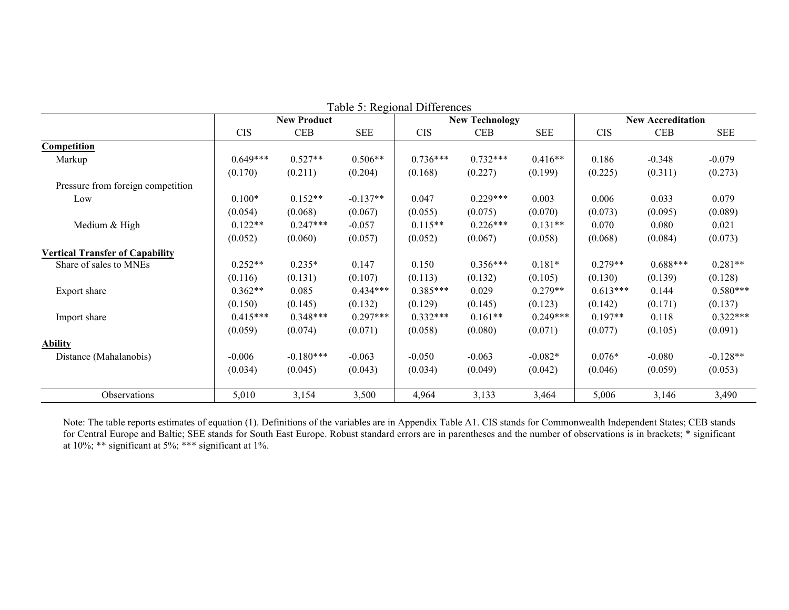| Table 5: Regional Differences          |            |                    |            |            |                       |            |            |                          |             |  |  |
|----------------------------------------|------------|--------------------|------------|------------|-----------------------|------------|------------|--------------------------|-------------|--|--|
|                                        |            | <b>New Product</b> |            |            | <b>New Technology</b> |            |            | <b>New Accreditation</b> |             |  |  |
|                                        | <b>CIS</b> | <b>CEB</b>         | <b>SEE</b> | <b>CIS</b> | <b>CEB</b>            | <b>SEE</b> | <b>CIS</b> | <b>CEB</b>               | ${\rm SEE}$ |  |  |
| Competition                            |            |                    |            |            |                       |            |            |                          |             |  |  |
| Markup                                 | $0.649***$ | $0.527**$          | $0.506**$  | $0.736***$ | $0.732***$            | $0.416**$  | 0.186      | $-0.348$                 | $-0.079$    |  |  |
|                                        | (0.170)    | (0.211)            | (0.204)    | (0.168)    | (0.227)               | (0.199)    | (0.225)    | (0.311)                  | (0.273)     |  |  |
| Pressure from foreign competition      |            |                    |            |            |                       |            |            |                          |             |  |  |
| Low                                    | $0.100*$   | $0.152**$          | $-0.137**$ | 0.047      | $0.229***$            | 0.003      | 0.006      | 0.033                    | 0.079       |  |  |
|                                        | (0.054)    | (0.068)            | (0.067)    | (0.055)    | (0.075)               | (0.070)    | (0.073)    | (0.095)                  | (0.089)     |  |  |
| Medium & High                          | $0.122**$  | $0.247***$         | $-0.057$   | $0.115**$  | $0.226***$            | $0.131**$  | 0.070      | 0.080                    | 0.021       |  |  |
|                                        | (0.052)    | (0.060)            | (0.057)    | (0.052)    | (0.067)               | (0.058)    | (0.068)    | (0.084)                  | (0.073)     |  |  |
| <b>Vertical Transfer of Capability</b> |            |                    |            |            |                       |            |            |                          |             |  |  |
| Share of sales to MNEs                 | $0.252**$  | $0.235*$           | 0.147      | 0.150      | $0.356***$            | $0.181*$   | $0.279**$  | $0.688***$               | $0.281**$   |  |  |
|                                        | (0.116)    | (0.131)            | (0.107)    | (0.113)    | (0.132)               | (0.105)    | (0.130)    | (0.139)                  | (0.128)     |  |  |
| Export share                           | $0.362**$  | 0.085              | $0.434***$ | $0.385***$ | 0.029                 | $0.279**$  | $0.613***$ | 0.144                    | $0.580***$  |  |  |
|                                        | (0.150)    | (0.145)            | (0.132)    | (0.129)    | (0.145)               | (0.123)    | (0.142)    | (0.171)                  | (0.137)     |  |  |
| Import share                           | $0.415***$ | $0.348***$         | $0.297***$ | $0.332***$ | $0.161**$             | $0.249***$ | $0.197**$  | 0.118                    | $0.322***$  |  |  |
|                                        | (0.059)    | (0.074)            | (0.071)    | (0.058)    | (0.080)               | (0.071)    | (0.077)    | (0.105)                  | (0.091)     |  |  |
| <b>Ability</b>                         |            |                    |            |            |                       |            |            |                          |             |  |  |
| Distance (Mahalanobis)                 | $-0.006$   | $-0.180***$        | $-0.063$   | $-0.050$   | $-0.063$              | $-0.082*$  | $0.076*$   | $-0.080$                 | $-0.128**$  |  |  |
|                                        | (0.034)    | (0.045)            | (0.043)    | (0.034)    | (0.049)               | (0.042)    | (0.046)    | (0.059)                  | (0.053)     |  |  |
|                                        |            |                    |            |            |                       |            |            |                          |             |  |  |
| Observations                           | 5,010      | 3,154              | 3,500      | 4,964      | 3,133                 | 3,464      | 5,006      | 3,146                    | 3,490       |  |  |

Note: The table reports estimates of equation (1). Definitions of the variables are in Appendix Table A1. CIS stands for Commonwealth Independent States; CEB stands for Central Europe and Baltic; SEE stands for South East Europe. Robust standard errors are in parentheses and the number of observations is in brackets; \* significant at 10%; \*\* significant at 5%; \*\*\* significant at 1%.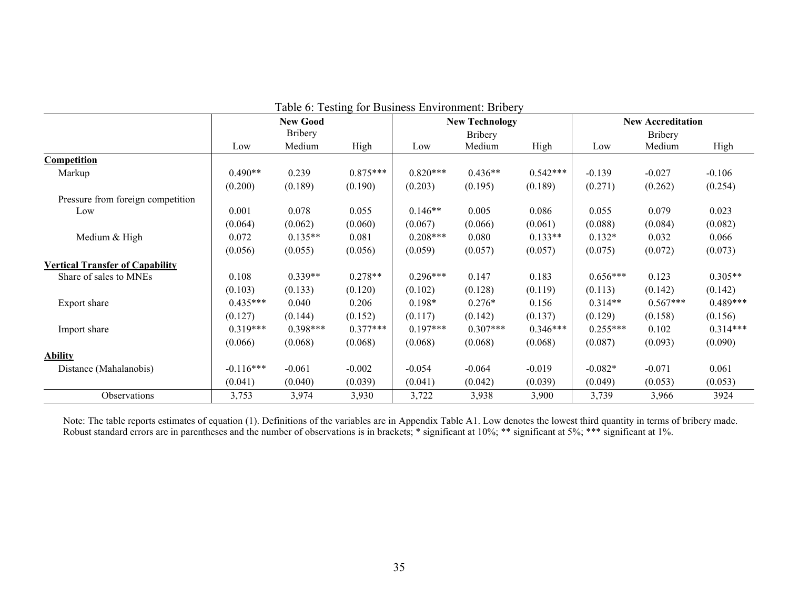| Laure 0. Testing for Dusiness Environment. Drivery |             |                 |            |            |                       |            |            |                          |            |  |  |
|----------------------------------------------------|-------------|-----------------|------------|------------|-----------------------|------------|------------|--------------------------|------------|--|--|
|                                                    |             | <b>New Good</b> |            |            | <b>New Technology</b> |            |            | <b>New Accreditation</b> |            |  |  |
|                                                    |             | <b>Bribery</b>  |            |            | <b>Bribery</b>        |            |            | <b>Bribery</b>           |            |  |  |
|                                                    | Low         | Medium          | High       | Low        | Medium                | High       | Low        | Medium                   | High       |  |  |
| Competition                                        |             |                 |            |            |                       |            |            |                          |            |  |  |
| Markup                                             | $0.490**$   | 0.239           | $0.875***$ | $0.820***$ | $0.436**$             | $0.542***$ | $-0.139$   | $-0.027$                 | $-0.106$   |  |  |
|                                                    | (0.200)     | (0.189)         | (0.190)    | (0.203)    | (0.195)               | (0.189)    | (0.271)    | (0.262)                  | (0.254)    |  |  |
| Pressure from foreign competition                  |             |                 |            |            |                       |            |            |                          |            |  |  |
| Low                                                | 0.001       | 0.078           | 0.055      | $0.146**$  | 0.005                 | 0.086      | 0.055      | 0.079                    | 0.023      |  |  |
|                                                    | (0.064)     | (0.062)         | (0.060)    | (0.067)    | (0.066)               | (0.061)    | (0.088)    | (0.084)                  | (0.082)    |  |  |
| Medium & High                                      | 0.072       | $0.135**$       | 0.081      | $0.208***$ | 0.080                 | $0.133**$  | $0.132*$   | 0.032                    | 0.066      |  |  |
|                                                    | (0.056)     | (0.055)         | (0.056)    | (0.059)    | (0.057)               | (0.057)    | (0.075)    | (0.072)                  | (0.073)    |  |  |
| <b>Vertical Transfer of Capability</b>             |             |                 |            |            |                       |            |            |                          |            |  |  |
| Share of sales to MNEs                             | 0.108       | $0.339**$       | $0.278**$  | $0.296***$ | 0.147                 | 0.183      | $0.656***$ | 0.123                    | $0.305**$  |  |  |
|                                                    | (0.103)     | (0.133)         | (0.120)    | (0.102)    | (0.128)               | (0.119)    | (0.113)    | (0.142)                  | (0.142)    |  |  |
| Export share                                       | $0.435***$  | 0.040           | 0.206      | $0.198*$   | $0.276*$              | 0.156      | $0.314**$  | $0.567***$               | $0.489***$ |  |  |
|                                                    | (0.127)     | (0.144)         | (0.152)    | (0.117)    | (0.142)               | (0.137)    | (0.129)    | (0.158)                  | (0.156)    |  |  |
| Import share                                       | $0.319***$  | $0.398***$      | $0.377***$ | $0.197***$ | $0.307***$            | $0.346***$ | $0.255***$ | 0.102                    | $0.314***$ |  |  |
|                                                    | (0.066)     | (0.068)         | (0.068)    | (0.068)    | (0.068)               | (0.068)    | (0.087)    | (0.093)                  | (0.090)    |  |  |
| <b>Ability</b>                                     |             |                 |            |            |                       |            |            |                          |            |  |  |
| Distance (Mahalanobis)                             | $-0.116***$ | $-0.061$        | $-0.002$   | $-0.054$   | $-0.064$              | $-0.019$   | $-0.082*$  | $-0.071$                 | 0.061      |  |  |
|                                                    | (0.041)     | (0.040)         | (0.039)    | (0.041)    | (0.042)               | (0.039)    | (0.049)    | (0.053)                  | (0.053)    |  |  |
| Observations                                       | 3,753       | 3,974           | 3,930      | 3,722      | 3,938                 | 3,900      | 3,739      | 3,966                    | 3924       |  |  |

Table 6: Testing for Business Environment: Bribery

Note: The table reports estimates of equation (1). Definitions of the variables are in Appendix Table A1. Low denotes the lowest third quantity in terms of bribery made. Robust standard errors are in parentheses and the number of observations is in brackets; \* significant at 10%; \*\* significant at 5%; \*\*\* significant at 1%.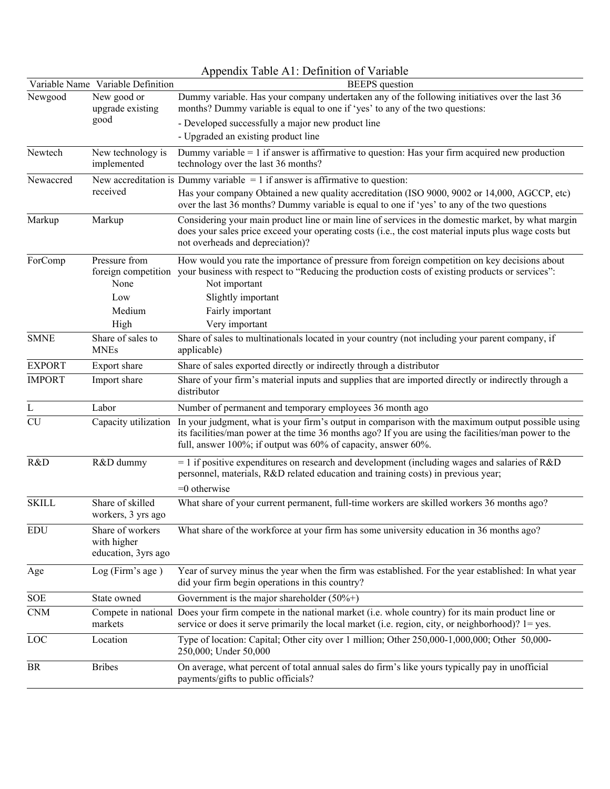|               |                                                        | Appendix Table A1: Definition of Variable                                                                                                                                                                                                                                                       |
|---------------|--------------------------------------------------------|-------------------------------------------------------------------------------------------------------------------------------------------------------------------------------------------------------------------------------------------------------------------------------------------------|
|               | Variable Name Variable Definition                      | <b>BEEPS</b> question                                                                                                                                                                                                                                                                           |
| Newgood       | New good or<br>upgrade existing                        | Dummy variable. Has your company undertaken any of the following initiatives over the last 36<br>months? Dummy variable is equal to one if 'yes' to any of the two questions:                                                                                                                   |
|               | good                                                   | - Developed successfully a major new product line                                                                                                                                                                                                                                               |
|               |                                                        | - Upgraded an existing product line                                                                                                                                                                                                                                                             |
| Newtech       | New technology is<br>implemented                       | Dummy variable $= 1$ if answer is affirmative to question: Has your firm acquired new production<br>technology over the last 36 months?                                                                                                                                                         |
| Newaccred     |                                                        | New accreditation is Dummy variable $= 1$ if answer is affirmative to question:                                                                                                                                                                                                                 |
|               | received                                               | Has your company Obtained a new quality accreditation (ISO 9000, 9002 or 14,000, AGCCP, etc)<br>over the last 36 months? Dummy variable is equal to one if 'yes' to any of the two questions                                                                                                    |
| Markup        | Markup                                                 | Considering your main product line or main line of services in the domestic market, by what margin<br>does your sales price exceed your operating costs (i.e., the cost material inputs plus wage costs but<br>not overheads and depreciation)?                                                 |
| ForComp       | Pressure from<br>None                                  | How would you rate the importance of pressure from foreign competition on key decisions about<br>foreign competition your business with respect to "Reducing the production costs of existing products or services":<br>Not important                                                           |
|               | Low                                                    | Slightly important                                                                                                                                                                                                                                                                              |
|               | Medium                                                 | Fairly important                                                                                                                                                                                                                                                                                |
|               | High                                                   | Very important                                                                                                                                                                                                                                                                                  |
| <b>SMNE</b>   | Share of sales to<br><b>MNEs</b>                       | Share of sales to multinationals located in your country (not including your parent company, if<br>applicable)                                                                                                                                                                                  |
| <b>EXPORT</b> | Export share                                           | Share of sales exported directly or indirectly through a distributor                                                                                                                                                                                                                            |
| <b>IMPORT</b> | Import share                                           | Share of your firm's material inputs and supplies that are imported directly or indirectly through a<br>distributor                                                                                                                                                                             |
| L             | Labor                                                  | Number of permanent and temporary employees 36 month ago                                                                                                                                                                                                                                        |
| <b>CU</b>     |                                                        | Capacity utilization In your judgment, what is your firm's output in comparison with the maximum output possible using<br>its facilities/man power at the time 36 months ago? If you are using the facilities/man power to the<br>full, answer 100%; if output was 60% of capacity, answer 60%. |
| R&D           | R&D dummy                                              | $=$ 1 if positive expenditures on research and development (including wages and salaries of R&D<br>personnel, materials, R&D related education and training costs) in previous year;<br>$=0$ otherwise                                                                                          |
| <b>SKILL</b>  | Share of skilled<br>workers, 3 yrs ago                 | What share of your current permanent, full-time workers are skilled workers 36 months ago?                                                                                                                                                                                                      |
| <b>EDU</b>    | Share of workers<br>with higher<br>education, 3yrs ago | What share of the workforce at your firm has some university education in 36 months ago?                                                                                                                                                                                                        |
| Age           | Log (Firm's age)                                       | Year of survey minus the year when the firm was established. For the year established: In what year<br>did your firm begin operations in this country?                                                                                                                                          |
| SOE           | State owned                                            | Government is the major shareholder $(50\%+)$                                                                                                                                                                                                                                                   |
| <b>CNM</b>    | markets                                                | Compete in national Does your firm compete in the national market (i.e. whole country) for its main product line or<br>service or does it serve primarily the local market (i.e. region, city, or neighborhood)? $1 = yes$ .                                                                    |
| LOC           | Location                                               | Type of location: Capital; Other city over 1 million; Other 250,000-1,000,000; Other 50,000-<br>250,000; Under 50,000                                                                                                                                                                           |
| <b>BR</b>     | <b>Bribes</b>                                          | On average, what percent of total annual sales do firm's like yours typically pay in unofficial<br>payments/gifts to public officials?                                                                                                                                                          |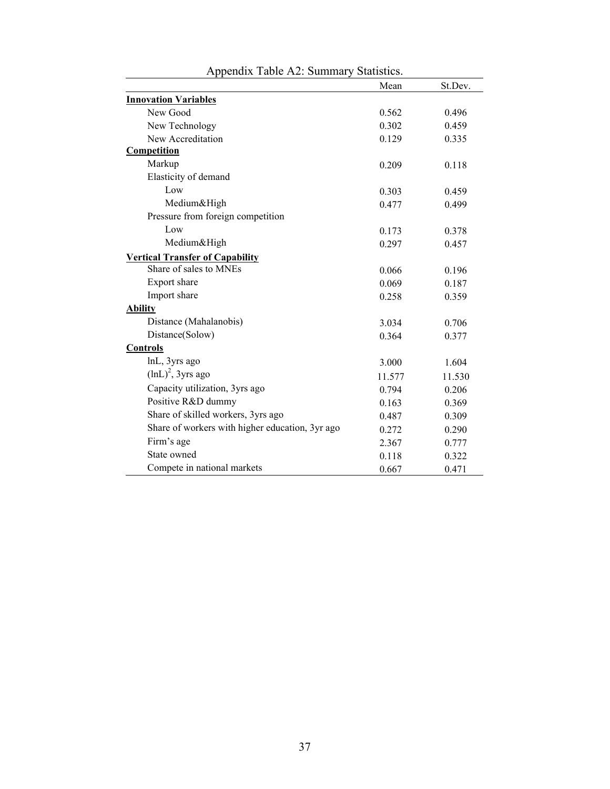|                                                 | Mean   | St.Dev. |
|-------------------------------------------------|--------|---------|
| <b>Innovation Variables</b>                     |        |         |
| New Good                                        | 0.562  | 0.496   |
| New Technology                                  | 0.302  | 0.459   |
| New Accreditation                               | 0.129  | 0.335   |
| <b>Competition</b>                              |        |         |
| Markup                                          | 0.209  | 0.118   |
| Elasticity of demand                            |        |         |
| Low                                             | 0.303  | 0.459   |
| Medium&High                                     | 0.477  | 0.499   |
| Pressure from foreign competition               |        |         |
| Low                                             | 0.173  | 0.378   |
| Medium&High                                     | 0.297  | 0.457   |
| <b>Vertical Transfer of Capability</b>          |        |         |
| Share of sales to MNEs                          | 0.066  | 0.196   |
| Export share                                    | 0.069  | 0.187   |
| Import share                                    | 0.258  | 0.359   |
| <b>Ability</b>                                  |        |         |
| Distance (Mahalanobis)                          | 3.034  | 0.706   |
| Distance(Solow)                                 | 0.364  | 0.377   |
| <b>Controls</b>                                 |        |         |
| lnL, 3yrs ago                                   | 3.000  | 1.604   |
| $(lnL)^2$ , 3yrs ago                            | 11.577 | 11.530  |
| Capacity utilization, 3yrs ago                  | 0.794  | 0.206   |
| Positive R&D dummy                              | 0.163  | 0.369   |
| Share of skilled workers, 3yrs ago              | 0.487  | 0.309   |
| Share of workers with higher education, 3yr ago | 0.272  | 0.290   |
| Firm's age                                      | 2.367  | 0.777   |
| State owned                                     | 0.118  | 0.322   |
| Compete in national markets                     | 0.667  | 0.471   |

|  |  |  |  | Appendix Table A2: Summary Statistics. |  |
|--|--|--|--|----------------------------------------|--|
|--|--|--|--|----------------------------------------|--|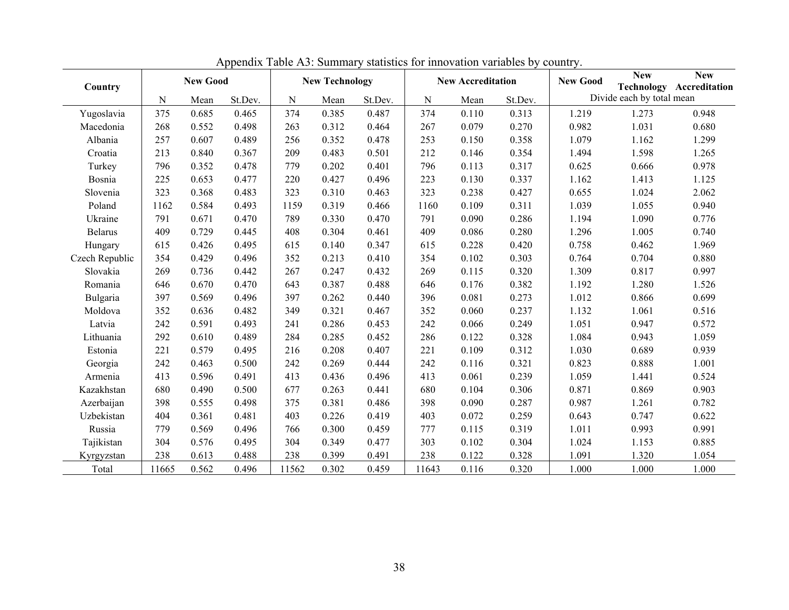| Country        | <b>New Good</b> |       |         | <b>New Technology</b> |       |         | <b>New Accreditation</b> |       |         | <b>New Good</b> | <b>New</b><br><b>Technology</b> | <b>New</b><br>Accreditation |
|----------------|-----------------|-------|---------|-----------------------|-------|---------|--------------------------|-------|---------|-----------------|---------------------------------|-----------------------------|
|                | N               | Mean  | St.Dev. | ${\bf N}$             | Mean  | St.Dev. | $\mathbf N$              | Mean  | St.Dev. |                 | Divide each by total mean       |                             |
| Yugoslavia     | 375             | 0.685 | 0.465   | 374                   | 0.385 | 0.487   | 374                      | 0.110 | 0.313   | 1.219           | 1.273                           | 0.948                       |
| Macedonia      | 268             | 0.552 | 0.498   | 263                   | 0.312 | 0.464   | 267                      | 0.079 | 0.270   | 0.982           | 1.031                           | 0.680                       |
| Albania        | 257             | 0.607 | 0.489   | 256                   | 0.352 | 0.478   | 253                      | 0.150 | 0.358   | 1.079           | 1.162                           | 1.299                       |
| Croatia        | 213             | 0.840 | 0.367   | 209                   | 0.483 | 0.501   | 212                      | 0.146 | 0.354   | 1.494           | 1.598                           | 1.265                       |
| Turkey         | 796             | 0.352 | 0.478   | 779                   | 0.202 | 0.401   | 796                      | 0.113 | 0.317   | 0.625           | 0.666                           | 0.978                       |
| Bosnia         | 225             | 0.653 | 0.477   | 220                   | 0.427 | 0.496   | 223                      | 0.130 | 0.337   | 1.162           | 1.413                           | 1.125                       |
| Slovenia       | 323             | 0.368 | 0.483   | 323                   | 0.310 | 0.463   | 323                      | 0.238 | 0.427   | 0.655           | 1.024                           | 2.062                       |
| Poland         | 1162            | 0.584 | 0.493   | 1159                  | 0.319 | 0.466   | 1160                     | 0.109 | 0.311   | 1.039           | 1.055                           | 0.940                       |
| Ukraine        | 791             | 0.671 | 0.470   | 789                   | 0.330 | 0.470   | 791                      | 0.090 | 0.286   | 1.194           | 1.090                           | 0.776                       |
| <b>Belarus</b> | 409             | 0.729 | 0.445   | 408                   | 0.304 | 0.461   | 409                      | 0.086 | 0.280   | 1.296           | 1.005                           | 0.740                       |
| Hungary        | 615             | 0.426 | 0.495   | 615                   | 0.140 | 0.347   | 615                      | 0.228 | 0.420   | 0.758           | 0.462                           | 1.969                       |
| Czech Republic | 354             | 0.429 | 0.496   | 352                   | 0.213 | 0.410   | 354                      | 0.102 | 0.303   | 0.764           | 0.704                           | 0.880                       |
| Slovakia       | 269             | 0.736 | 0.442   | 267                   | 0.247 | 0.432   | 269                      | 0.115 | 0.320   | 1.309           | 0.817                           | 0.997                       |
| Romania        | 646             | 0.670 | 0.470   | 643                   | 0.387 | 0.488   | 646                      | 0.176 | 0.382   | 1.192           | 1.280                           | 1.526                       |
| Bulgaria       | 397             | 0.569 | 0.496   | 397                   | 0.262 | 0.440   | 396                      | 0.081 | 0.273   | 1.012           | 0.866                           | 0.699                       |
| Moldova        | 352             | 0.636 | 0.482   | 349                   | 0.321 | 0.467   | 352                      | 0.060 | 0.237   | 1.132           | 1.061                           | 0.516                       |
| Latvia         | 242             | 0.591 | 0.493   | 241                   | 0.286 | 0.453   | 242                      | 0.066 | 0.249   | 1.051           | 0.947                           | 0.572                       |
| Lithuania      | 292             | 0.610 | 0.489   | 284                   | 0.285 | 0.452   | 286                      | 0.122 | 0.328   | 1.084           | 0.943                           | 1.059                       |
| Estonia        | 221             | 0.579 | 0.495   | 216                   | 0.208 | 0.407   | 221                      | 0.109 | 0.312   | 1.030           | 0.689                           | 0.939                       |
| Georgia        | 242             | 0.463 | 0.500   | 242                   | 0.269 | 0.444   | 242                      | 0.116 | 0.321   | 0.823           | 0.888                           | 1.001                       |
| Armenia        | 413             | 0.596 | 0.491   | 413                   | 0.436 | 0.496   | 413                      | 0.061 | 0.239   | 1.059           | 1.441                           | 0.524                       |
| Kazakhstan     | 680             | 0.490 | 0.500   | 677                   | 0.263 | 0.441   | 680                      | 0.104 | 0.306   | 0.871           | 0.869                           | 0.903                       |
| Azerbaijan     | 398             | 0.555 | 0.498   | 375                   | 0.381 | 0.486   | 398                      | 0.090 | 0.287   | 0.987           | 1.261                           | 0.782                       |
| Uzbekistan     | 404             | 0.361 | 0.481   | 403                   | 0.226 | 0.419   | 403                      | 0.072 | 0.259   | 0.643           | 0.747                           | 0.622                       |
| Russia         | 779             | 0.569 | 0.496   | 766                   | 0.300 | 0.459   | 777                      | 0.115 | 0.319   | 1.011           | 0.993                           | 0.991                       |
| Tajikistan     | 304             | 0.576 | 0.495   | 304                   | 0.349 | 0.477   | 303                      | 0.102 | 0.304   | 1.024           | 1.153                           | 0.885                       |
| Kyrgyzstan     | 238             | 0.613 | 0.488   | 238                   | 0.399 | 0.491   | 238                      | 0.122 | 0.328   | 1.091           | 1.320                           | 1.054                       |
| Total          | 11665           | 0.562 | 0.496   | 11562                 | 0.302 | 0.459   | 11643                    | 0.116 | 0.320   | 1.000           | 1.000                           | 1.000                       |

Appendix Table A3: Summary statistics for innovation variables by country.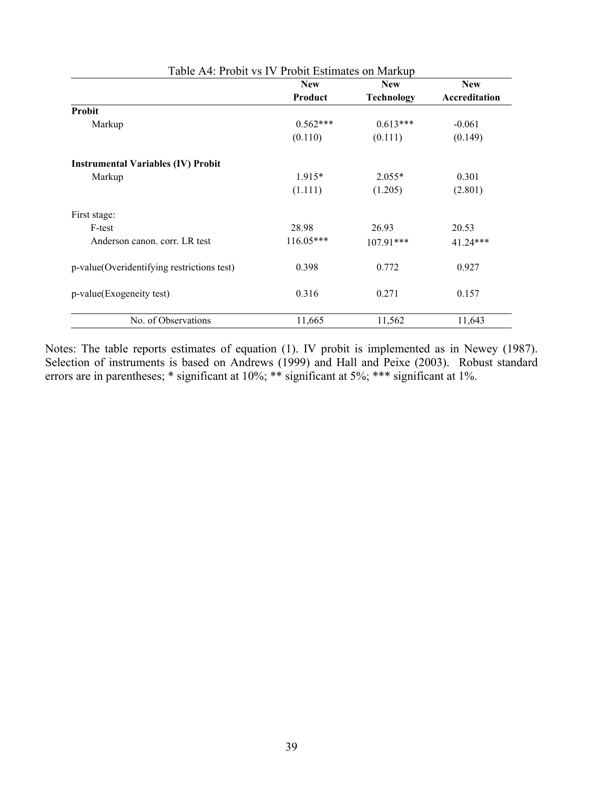| Table A4: Probit vs IV Probit Estimates on Markup |             |                   |               |  |  |  |  |  |  |  |
|---------------------------------------------------|-------------|-------------------|---------------|--|--|--|--|--|--|--|
|                                                   | <b>New</b>  | <b>New</b>        | <b>New</b>    |  |  |  |  |  |  |  |
|                                                   | Product     | <b>Technology</b> | Accreditation |  |  |  |  |  |  |  |
| Probit                                            |             |                   |               |  |  |  |  |  |  |  |
| Markup                                            | $0.562***$  | $0.613***$        | $-0.061$      |  |  |  |  |  |  |  |
|                                                   | (0.110)     | (0.111)           | (0.149)       |  |  |  |  |  |  |  |
| <b>Instrumental Variables (IV) Probit</b>         |             |                   |               |  |  |  |  |  |  |  |
| Markup                                            | $1.915*$    | $2.055*$          | 0.301         |  |  |  |  |  |  |  |
|                                                   | (1.111)     | (1.205)           | (2.801)       |  |  |  |  |  |  |  |
| First stage:                                      |             |                   |               |  |  |  |  |  |  |  |
| F-test                                            | 28.98       | 26.93             | 20.53         |  |  |  |  |  |  |  |
| Anderson canon, corr. LR test                     | $116.05***$ | $107.91***$       | $41.24***$    |  |  |  |  |  |  |  |
| p-value(Overidentifying restrictions test)        | 0.398       | 0.772             | 0.927         |  |  |  |  |  |  |  |
| p-value(Exogeneity test)                          | 0.316       | 0.271             | 0.157         |  |  |  |  |  |  |  |
| No. of Observations                               | 11,665      | 11,562            | 11,643        |  |  |  |  |  |  |  |

Notes: The table reports estimates of equation (1). IV probit is implemented as in Newey (1987). Selection of instruments is based on Andrews (1999) and Hall and Peixe (2003). Robust standard errors are in parentheses; \* significant at 10%; \*\* significant at 5%; \*\*\* significant at 1%.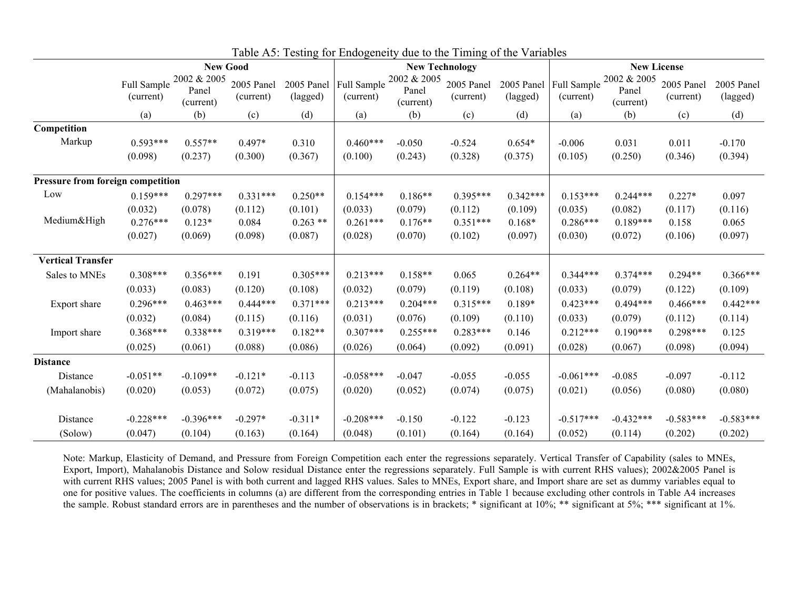|                                   |                          |                                   | <b>New Technology</b>   |                        |                          |                                   | <b>New License</b>      |                        |                          |                                   |                         |                        |
|-----------------------------------|--------------------------|-----------------------------------|-------------------------|------------------------|--------------------------|-----------------------------------|-------------------------|------------------------|--------------------------|-----------------------------------|-------------------------|------------------------|
|                                   | Full Sample<br>(current) | 2002 & 2005<br>Panel<br>(current) | 2005 Panel<br>(current) | 2005 Panel<br>(lagged) | Full Sample<br>(current) | 2002 & 2005<br>Panel<br>(current) | 2005 Panel<br>(current) | 2005 Panel<br>(lagged) | Full Sample<br>(current) | 2002 & 2005<br>Panel<br>(current) | 2005 Panel<br>(current) | 2005 Panel<br>(lagged) |
|                                   | (a)                      | (b)                               | (c)                     | (d)                    | (a)                      | (b)                               | (c)                     | (d)                    | (a)                      | (b)                               | (c)                     | (d)                    |
| Competition                       |                          |                                   |                         |                        |                          |                                   |                         |                        |                          |                                   |                         |                        |
| Markup                            | $0.593***$               | $0.557**$                         | $0.497*$                | 0.310                  | $0.460***$               | $-0.050$                          | $-0.524$                | $0.654*$               | $-0.006$                 | 0.031                             | 0.011                   | $-0.170$               |
|                                   | (0.098)                  | (0.237)                           | (0.300)                 | (0.367)                | (0.100)                  | (0.243)                           | (0.328)                 | (0.375)                | (0.105)                  | (0.250)                           | (0.346)                 | (0.394)                |
| Pressure from foreign competition |                          |                                   |                         |                        |                          |                                   |                         |                        |                          |                                   |                         |                        |
| Low                               | $0.159***$               | $0.297***$                        | $0.331***$              | $0.250**$              | $0.154***$               | $0.186**$                         | $0.395***$              | $0.342***$             | $0.153***$               | $0.244***$                        | $0.227*$                | 0.097                  |
|                                   | (0.032)                  | (0.078)                           | (0.112)                 | (0.101)                | (0.033)                  | (0.079)                           | (0.112)                 | (0.109)                | (0.035)                  | (0.082)                           | (0.117)                 | (0.116)                |
| Medium&High                       | $0.276***$               | $0.123*$                          | 0.084                   | $0.263$ **             | $0.261***$               | $0.176**$                         | $0.351***$              | $0.168*$               | $0.286***$               | $0.189***$                        | 0.158                   | 0.065                  |
|                                   | (0.027)                  | (0.069)                           | (0.098)                 | (0.087)                | (0.028)                  | (0.070)                           | (0.102)                 | (0.097)                | (0.030)                  | (0.072)                           | (0.106)                 | (0.097)                |
| <b>Vertical Transfer</b>          |                          |                                   |                         |                        |                          |                                   |                         |                        |                          |                                   |                         |                        |
| Sales to MNEs                     | $0.308***$               | $0.356***$                        | 0.191                   | $0.305***$             | $0.213***$               | $0.158**$                         | 0.065                   | $0.264**$              | $0.344***$               | $0.374***$                        | $0.294**$               | $0.366***$             |
|                                   | (0.033)                  | (0.083)                           | (0.120)                 | (0.108)                | (0.032)                  | (0.079)                           | (0.119)                 | (0.108)                | (0.033)                  | (0.079)                           | (0.122)                 | (0.109)                |
| Export share                      | $0.296***$               | $0.463***$                        | $0.444***$              | $0.371***$             | $0.213***$               | $0.204***$                        | $0.315***$              | $0.189*$               | $0.423***$               | $0.494***$                        | $0.466***$              | $0.442***$             |
|                                   | (0.032)                  | (0.084)                           | (0.115)                 | (0.116)                | (0.031)                  | (0.076)                           | (0.109)                 | (0.110)                | (0.033)                  | (0.079)                           | (0.112)                 | (0.114)                |
| Import share                      | $0.368***$               | $0.338***$                        | $0.319***$              | $0.182**$              | $0.307***$               | $0.255***$                        | $0.283***$              | 0.146                  | $0.212***$               | $0.190***$                        | $0.298***$              | 0.125                  |
|                                   | (0.025)                  | (0.061)                           | (0.088)                 | (0.086)                | (0.026)                  | (0.064)                           | (0.092)                 | (0.091)                | (0.028)                  | (0.067)                           | (0.098)                 | (0.094)                |
| <b>Distance</b>                   |                          |                                   |                         |                        |                          |                                   |                         |                        |                          |                                   |                         |                        |
| Distance                          | $-0.051**$               | $-0.109**$                        | $-0.121*$               | $-0.113$               | $-0.058***$              | $-0.047$                          | $-0.055$                | $-0.055$               | $-0.061***$              | $-0.085$                          | $-0.097$                | $-0.112$               |
| (Mahalanobis)                     | (0.020)                  | (0.053)                           | (0.072)                 | (0.075)                | (0.020)                  | (0.052)                           | (0.074)                 | (0.075)                | (0.021)                  | (0.056)                           | (0.080)                 | (0.080)                |
| Distance                          | $-0.228***$              | $-0.396***$                       | $-0.297*$               | $-0.311*$              | $-0.208***$              | $-0.150$                          | $-0.122$                | $-0.123$               | $-0.517***$              | $-0.432***$                       | $-0.583***$             | $-0.583***$            |
| (Solow)                           | (0.047)                  | (0.104)                           | (0.163)                 | (0.164)                | (0.048)                  | (0.101)                           | (0.164)                 | (0.164)                | (0.052)                  | (0.114)                           | (0.202)                 | (0.202)                |

Table A5: Testing for Endogeneity due to the Timing of the Variables

Note: Markup, Elasticity of Demand, and Pressure from Foreign Competition each enter the regressions separately. Vertical Transfer of Capability (sales to MNEs, Export, Import), Mahalanobis Distance and Solow residual Distance enter the regressions separately. Full Sample is with current RHS values); 2002&2005 Panel is with current RHS values; 2005 Panel is with both current and lagged RHS values. Sales to MNEs, Export share, and Import share are set as dummy variables equal to one for positive values. The coefficients in columns (a) are different from the corresponding entries in Table 1 because excluding other controls in Table A4 increases the sample. Robust standard errors are in parentheses and the number of observations is in brackets; \* significant at 10%; \*\* significant at 5%; \*\*\* significant at 1%.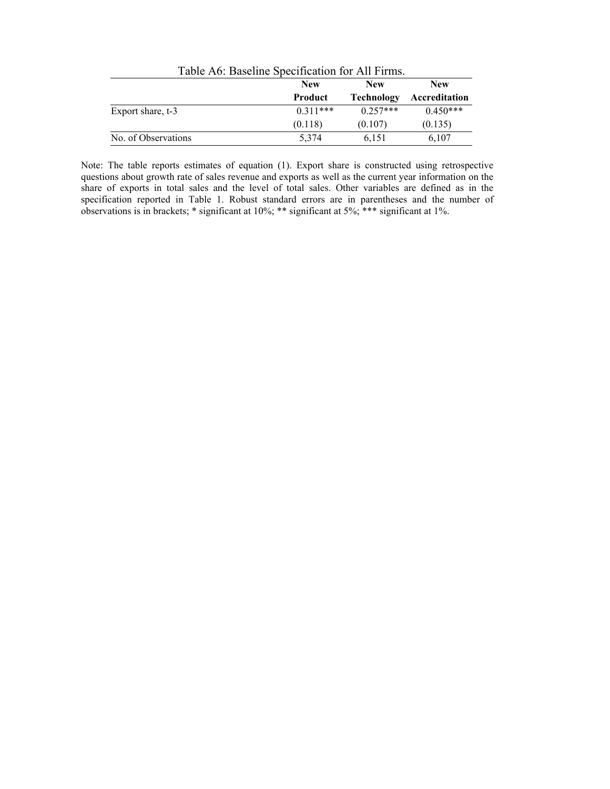| Table A6: Baseline Specification for All Firms. |            |                   |               |  |  |
|-------------------------------------------------|------------|-------------------|---------------|--|--|
|                                                 | <b>New</b> | <b>New</b>        | <b>New</b>    |  |  |
|                                                 | Product    | <b>Technology</b> | Accreditation |  |  |
| Export share, t-3                               | $0.311***$ | $0.257***$        | $0.450***$    |  |  |
|                                                 | (0.118)    | (0.107)           | (0.135)       |  |  |
| No. of Observations                             | 5.374      | 6.151             | 6,107         |  |  |

Note: The table reports estimates of equation (1). Export share is constructed using retrospective questions about growth rate of sales revenue and exports as well as the current year information on the share of exports in total sales and the level of total sales. Other variables are defined as in the specification reported in Table 1. Robust standard errors are in parentheses and the number of observations is in brackets; \* significant at 10%; \*\* significant at 5%; \*\*\* significant at 1%.